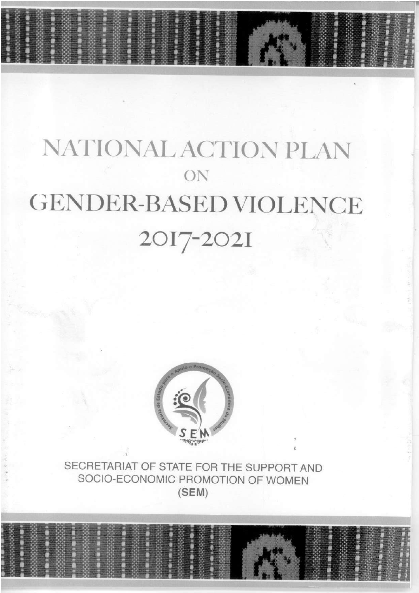# NATIONAL ACTION PLAN ON **GENDER-BASED VIOLENCE** 2017-2021



SECRETARIAT OF STATE FOR THE SUPPORT AND SOCIO-ECONOMIC PROMOTION OF WOMEN  $(SEM)$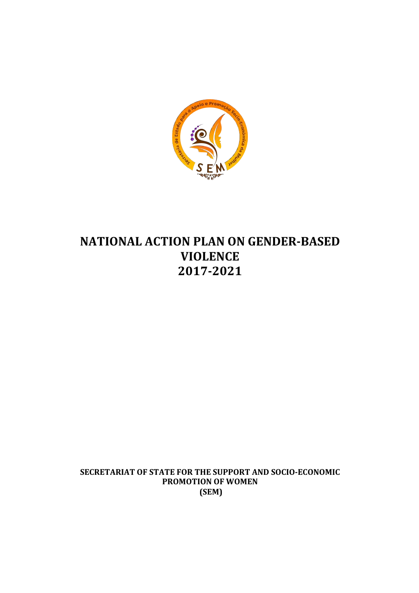

# **NATIONAL ACTION PLAN ON GENDER-BASED VIOLENCE! 2017.2021**

SECRETARIAT OF STATE FOR THE SUPPORT AND SOCIO-ECONOMIC **PROMOTION OF WOMEN (SEM)**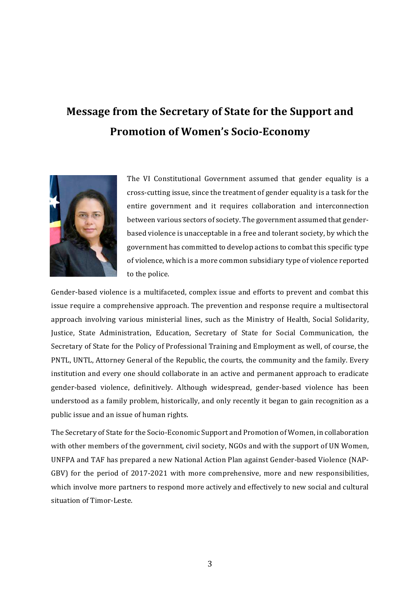# **Message from the Secretary of State for the Support and Promotion!of!Women's Socio.Economy**



The VI Constitutional Government assumed that gender equality is a cross-cutting issue, since the treatment of gender equality is a task for the entire government and it requires collaboration and interconnection between various sectors of society. The government assumed that genderbased violence is unacceptable in a free and tolerant society, by which the government has committed to develop actions to combat this specific type of violence, which is a more common subsidiary type of violence reported to the police.

Gender-based violence is a multifaceted, complex issue and efforts to prevent and combat this issue require a comprehensive approach. The prevention and response require a multisectoral approach involving various ministerial lines, such as the Ministry of Health, Social Solidarity, Justice, State Administration, Education, Secretary of State for Social Communication, the Secretary of State for the Policy of Professional Training and Employment as well, of course, the PNTL, UNTL, Attorney General of the Republic, the courts, the community and the family. Every institution and every one should collaborate in an active and permanent approach to eradicate gender-based violence, definitively. Although widespread, gender-based violence has been understood as a family problem, historically, and only recently it began to gain recognition as a public issue and an issue of human rights.

The Secretary of State for the Socio-Economic Support and Promotion of Women, in collaboration with other members of the government, civil society, NGOs and with the support of UN Women, UNFPA and TAF has prepared a new National Action Plan against Gender-based Violence (NAP-GBV) for the period of 2017-2021 with more comprehensive, more and new responsibilities, which involve more partners to respond more actively and effectively to new social and cultural situation of Timor-Leste.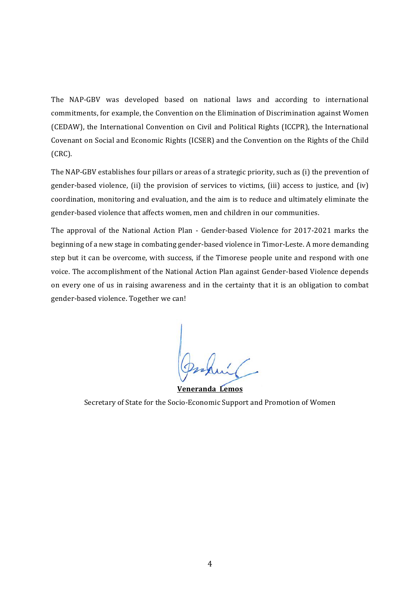The NAP-GBV was developed based on national laws and according to international commitments, for example, the Convention on the Elimination of Discrimination against Women (CEDAW), the International Convention on Civil and Political Rights (ICCPR), the International Covenant on Social and Economic Rights (ICSER) and the Convention on the Rights of the Child (CRC).

The NAP-GBV establishes four pillars or areas of a strategic priority, such as (i) the prevention of gender-based violence, (ii) the provision of services to victims, (iii) access to justice, and (iv) coordination, monitoring and evaluation, and the aim is to reduce and ultimately eliminate the gender-based violence that affects women, men and children in our communities.

The approval of the National Action Plan - Gender-based Violence for 2017-2021 marks the beginning of a new stage in combating gender-based violence in Timor-Leste. A more demanding step but it can be overcome, with success, if the Timorese people unite and respond with one voice. The accomplishment of the National Action Plan against Gender-based Violence depends on every one of us in raising awareness and in the certainty that it is an obligation to combat gender-based violence. Together we can!

**Veneranda! Lemos** Secretary of State for the Socio-Economic Support and Promotion of Women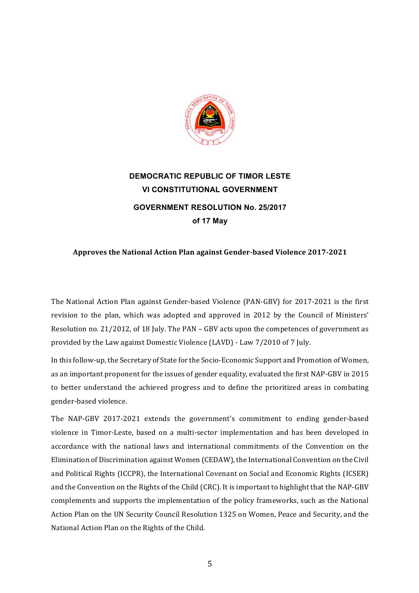

# **DEMOCRATIC REPUBLIC OF TIMOR LESTE VI CONSTITUTIONAL GOVERNMENT GOVERNMENT RESOLUTION No. 25/2017 of!17!May!**

#### Approves the National Action Plan against Gender-based Violence 2017-2021

The National Action Plan against Gender-based Violence (PAN-GBV) for 2017-2021 is the first revision to the plan, which was adopted and approved in 2012 by the Council of Ministers' Resolution no. 21/2012, of 18 July. The PAN – GBV acts upon the competences of government as provided by the Law against Domestic Violence (LAVD) - Law 7/2010 of 7 July.

In this follow-up, the Secretary of State for the Socio-Economic Support and Promotion of Women, as an important proponent for the issues of gender equality, evaluated the first NAP-GBV in 2015 to better understand the achieved progress and to define the prioritized areas in combating gender-based violence.

The NAP-GBV 2017-2021 extends the government's commitment to ending gender-based violence in Timor-Leste, based on a multi-sector implementation and has been developed in accordance with the national laws and international commitments of the Convention on the Elimination of Discrimination against Women (CEDAW), the International Convention on the Civil and Political Rights (ICCPR), the International Covenant on Social and Economic Rights (ICSER) and the Convention on the Rights of the Child (CRC). It is important to highlight that the NAP-GBV complements and supports the implementation of the policy frameworks, such as the National Action Plan on the UN Security Council Resolution 1325 on Women, Peace and Security, and the National Action Plan on the Rights of the Child.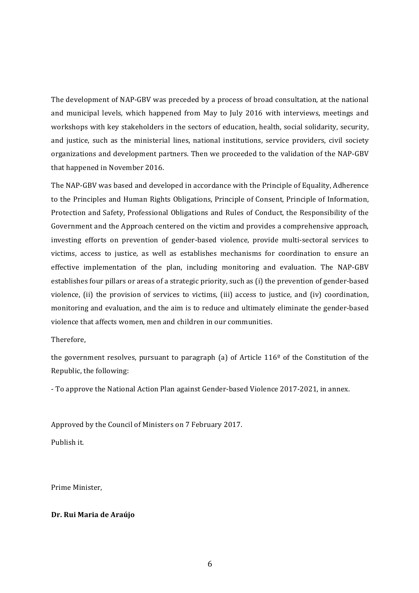The development of NAP-GBV was preceded by a process of broad consultation, at the national and municipal levels, which happened from May to July 2016 with interviews, meetings and workshops with key stakeholders in the sectors of education, health, social solidarity, security, and justice, such as the ministerial lines, national institutions, service providers, civil society organizations and development partners. Then we proceeded to the validation of the NAP-GBV that happened in November 2016.

The NAP-GBV was based and developed in accordance with the Principle of Equality, Adherence to the Principles and Human Rights Obligations, Principle of Consent, Principle of Information, Protection and Safety, Professional Obligations and Rules of Conduct, the Responsibility of the Government and the Approach centered on the victim and provides a comprehensive approach, investing efforts on prevention of gender-based violence, provide multi-sectoral services to victims, access to justice, as well as establishes mechanisms for coordination to ensure an effective implementation of the plan, including monitoring and evaluation. The NAP-GBV establishes four pillars or areas of a strategic priority, such as (i) the prevention of gender-based violence, (ii) the provision of services to victims, (iii) access to justice, and (iv) coordination, monitoring and evaluation, and the aim is to reduce and ultimately eliminate the gender-based violence that affects women, men and children in our communities.

Therefore,

the government resolves, pursuant to paragraph (a) of Article  $116<sup>°</sup>$  of the Constitution of the Republic, the following:

- To approve the National Action Plan against Gender-based Violence 2017-2021, in annex.

Approved by the Council of Ministers on 7 February 2017.

Publish it.

Prime Minister,

#### **Dr. Rui Maria de Araújo**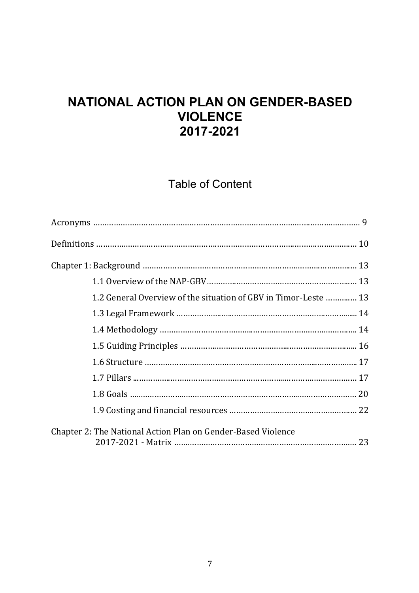# **NATIONAL ACTION PLAN ON GENDER-BASED VIOLENCE! 2017?2021**

# **Table of Content**

| 1.2 General Overview of the situation of GBV in Timor-Leste  13 |  |
|-----------------------------------------------------------------|--|
|                                                                 |  |
|                                                                 |  |
|                                                                 |  |
|                                                                 |  |
|                                                                 |  |
|                                                                 |  |
|                                                                 |  |
| Chapter 2: The National Action Plan on Gender-Based Violence    |  |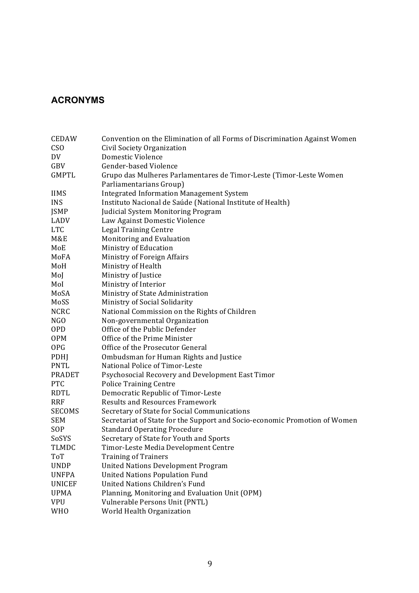### **ACRONYMS**

| <b>CEDAW</b>  | Convention on the Elimination of all Forms of Discrimination Against Women |
|---------------|----------------------------------------------------------------------------|
| <b>CSO</b>    | Civil Society Organization                                                 |
| DV            | Domestic Violence                                                          |
| GBV           | Gender-based Violence                                                      |
| <b>GMPTL</b>  | Grupo das Mulheres Parlamentares de Timor-Leste (Timor-Leste Women         |
|               | Parliamentarians Group)                                                    |
| <b>IIMS</b>   | <b>Integrated Information Management System</b>                            |
| <b>INS</b>    | Instituto Nacional de Saúde (National Institute of Health)                 |
| JSMP          | Judicial System Monitoring Program                                         |
| LADV          | Law Against Domestic Violence                                              |
| <b>LTC</b>    | <b>Legal Training Centre</b>                                               |
| M&E           | Monitoring and Evaluation                                                  |
| MoE           | Ministry of Education                                                      |
| MoFA          | Ministry of Foreign Affairs                                                |
| MoH           | Ministry of Health                                                         |
| Mol           | Ministry of Justice                                                        |
| Mol           | Ministry of Interior                                                       |
| MoSA          | Ministry of State Administration                                           |
| MoSS          | Ministry of Social Solidarity                                              |
| <b>NCRC</b>   | National Commission on the Rights of Children                              |
| NGO           | Non-governmental Organization                                              |
| <b>OPD</b>    | Office of the Public Defender                                              |
| <b>OPM</b>    | Office of the Prime Minister                                               |
| <b>OPG</b>    | Office of the Prosecutor General                                           |
| <b>PDHJ</b>   | Ombudsman for Human Rights and Justice                                     |
| PNTL          | National Police of Timor-Leste                                             |
| <b>PRADET</b> | Psychosocial Recovery and Development East Timor                           |
| <b>PTC</b>    | <b>Police Training Centre</b>                                              |
| RDTL          | Democratic Republic of Timor-Leste                                         |
| <b>RRF</b>    | <b>Results and Resources Framework</b>                                     |
| <b>SECOMS</b> | Secretary of State for Social Communications                               |
| <b>SEM</b>    | Secretariat of State for the Support and Socio-economic Promotion of Women |
| SOP           | <b>Standard Operating Procedure</b>                                        |
| SoSYS         | Secretary of State for Youth and Sports                                    |
| TLMDC         | Timor-Leste Media Development Centre                                       |
| <b>ToT</b>    | <b>Training of Trainers</b>                                                |
| <b>UNDP</b>   | <b>United Nations Development Program</b>                                  |
| <b>UNFPA</b>  | <b>United Nations Population Fund</b>                                      |
| <b>UNICEF</b> | <b>United Nations Children's Fund</b>                                      |
| <b>UPMA</b>   | Planning, Monitoring and Evaluation Unit (OPM)                             |
| <b>VPU</b>    | Vulnerable Persons Unit (PNTL)                                             |
| <b>WHO</b>    | World Health Organization                                                  |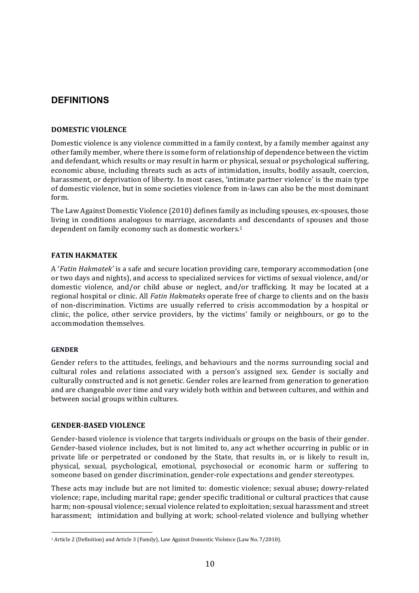#### **DEFINITIONS**

#### **DOMESTIC!VIOLENCE**

Domestic violence is any violence committed in a family context, by a family member against any other family member, where there is some form of relationship of dependence between the victim and defendant, which results or may result in harm or physical, sexual or psychological suffering, economic abuse, including threats such as acts of intimidation, insults, bodily assault, coercion, harassment, or deprivation of liberty. In most cases, 'intimate partner violence' is the main type of domestic violence, but in some societies violence from in-laws can also be the most dominant form.

The Law Against Domestic Violence (2010) defines family as including spouses, ex-spouses, those living in conditions analogous to marriage, ascendants and descendants of spouses and those dependent on family economy such as domestic workers.<sup>1</sup>

#### **FATIN!HAKMATEK**

A '*Fatin Hakmatek'* is a safe and secure location providing care, temporary accommodation (one or two days and nights), and access to specialized services for victims of sexual violence, and/or domestic violence, and/or child abuse or neglect, and/or trafficking. It may be located at a regional hospital or clinic. All *Fatin Hakmateks* operate free of charge to clients and on the basis of non-discrimination. Victims are usually referred to crisis accommodation by a hospital or clinic, the police, other service providers, by the victims' family or neighbours, or go to the accommodation themselves.

#### **GENDER**

Gender refers to the attitudes, feelings, and behaviours and the norms surrounding social and cultural roles and relations associated with a person's assigned sex. Gender is socially and culturally constructed and is not genetic. Gender roles are learned from generation to generation and are changeable over time and vary widely both within and between cultures, and within and between social groups within cultures.

#### **GENDER.BASED!VIOLENCE**

!!!!!!!!!!!!!!!!!!!!!!!!!!!!!!!!!!!!!!!!!!!!!!!!!!!!!!!

Gender-based violence is violence that targets individuals or groups on the basis of their gender. Gender-based violence includes, but is not limited to, any act whether occurring in public or in private life or perpetrated or condoned by the State, that results in, or is likely to result in, physical, sexual, psychological, emotional, psychosocial or economic harm or suffering to someone based on gender discrimination, gender-role expectations and gender stereotypes.

These acts may include but are not limited to: domestic violence; sexual abuse; dowry-related violence; rape, including marital rape; gender specific traditional or cultural practices that cause harm; non-spousal violence; sexual violence related to exploitation; sexual harassment and street harassment; intimidation and bullying at work; school-related violence and bullying whether

<sup>&</sup>lt;sup>1</sup> Article 2 (Definition) and Article 3 (Family), Law Against Domestic Violence (Law No. 7/2010).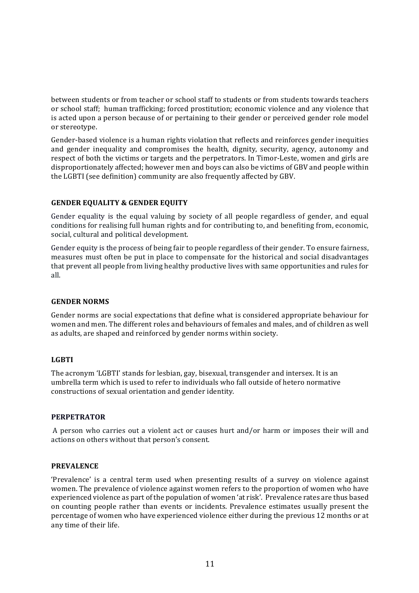between students or from teacher or school staff to students or from students towards teachers or school staff; human trafficking; forced prostitution; economic violence and any violence that is acted upon a person because of or pertaining to their gender or perceived gender role model or stereotype.

Gender-based violence is a human rights violation that reflects and reinforces gender inequities and gender inequality and compromises the health, dignity, security, agency, autonomy and respect of both the victims or targets and the perpetrators. In Timor-Leste, women and girls are disproportionately affected; however men and boys can also be victims of GBV and people within the LGBTI (see definition) community are also frequently affected by GBV.

#### **GENDER EQUALITY & GENDER EQUITY**

Gender equality is the equal valuing by society of all people regardless of gender, and equal conditions for realising full human rights and for contributing to, and benefiting from, economic, social, cultural and political development.

Gender equity is the process of being fair to people regardless of their gender. To ensure fairness, measures must often be put in place to compensate for the historical and social disadvantages that prevent all people from living healthy productive lives with same opportunities and rules for all.

#### **GENDER NORMS**

Gender norms are social expectations that define what is considered appropriate behaviour for women and men. The different roles and behaviours of females and males, and of children as well as adults, are shaped and reinforced by gender norms within society.

#### **LGBTI**

The acronym 'LGBTI' stands for lesbian, gay, bisexual, transgender and intersex. It is an umbrella term which is used to refer to individuals who fall outside of hetero normative constructions of sexual orientation and gender identity.

#### **PERPETRATOR**

A person who carries out a violent act or causes hurt and/or harm or imposes their will and actions on others without that person's consent.

#### **PREVALENCE**

'Prevalence' is a central term used when presenting results of a survey on violence against women. The prevalence of violence against women refers to the proportion of women who have experienced violence as part of the population of women 'at risk'. Prevalence rates are thus based on counting people rather than events or incidents. Prevalence estimates usually present the percentage of women who have experienced violence either during the previous 12 months or at any time of their life.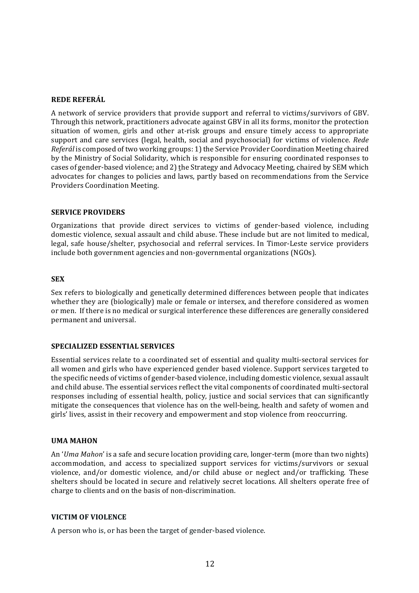#### **REDE!REFERÁL**

A network of service providers that provide support and referral to victims/survivors of GBV. Through this network, practitioners advocate against GBV in all its forms, monitor the protection situation of women, girls and other at-risk groups and ensure timely access to appropriate support and care services (legal, health, social and psychosocial) for victims of violence. *Rede Referál* is composed of two working groups: 1) the Service Provider Coordination Meeting chaired by the Ministry of Social Solidarity, which is responsible for ensuring coordinated responses to cases of gender-based violence; and 2) the Strategy and Advocacy Meeting, chaired by SEM which advocates for changes to policies and laws, partly based on recommendations from the Service Providers Coordination Meeting.

#### **SERVICE PROVIDERS**

Organizations that provide direct services to victims of gender-based violence, including domestic violence, sexual assault and child abuse. These include but are not limited to medical, legal, safe house/shelter, psychosocial and referral services. In Timor-Leste service providers include both government agencies and non-governmental organizations (NGOs).

#### **SEX**

Sex refers to biologically and genetically determined differences between people that indicates whether they are (biologically) male or female or intersex, and therefore considered as women or men. If there is no medical or surgical interference these differences are generally considered permanent and universal.

#### **SPECIALIZED ESSENTIAL SERVICES**

Essential services relate to a coordinated set of essential and quality multi-sectoral services for all women and girls who have experienced gender based violence. Support services targeted to the specific needs of victims of gender-based violence, including domestic violence, sexual assault and child abuse. The essential services reflect the vital components of coordinated multi-sectoral responses including of essential health, policy, justice and social services that can significantly mitigate the consequences that violence has on the well-being, health and safety of women and girls' lives, assist in their recovery and empowerment and stop violence from reoccurring.

#### **UMA MAHON**

An '*Uma Mahon*' is a safe and secure location providing care, longer-term (more than two nights) accommodation, and access to specialized support services for victims/survivors or sexual violence, and/or domestic violence, and/or child abuse or neglect and/or trafficking. These shelters should be located in secure and relatively secret locations. All shelters operate free of charge to clients and on the basis of non-discrimination.

#### **VICTIM OF!VIOLENCE**

A person who is, or has been the target of gender-based violence.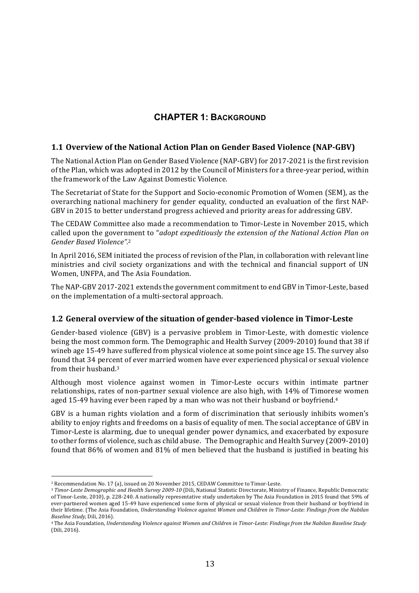### **CHAPTER 1: BACKGROUND**

#### **1.1 Overview of the National Action Plan on Gender Based Violence (NAP-GBV)**

The National Action Plan on Gender Based Violence (NAP-GBV) for 2017-2021 is the first revision of the Plan, which was adopted in 2012 by the Council of Ministers for a three-year period, within the framework of the Law Against Domestic Violence.

The Secretariat of State for the Support and Socio-economic Promotion of Women (SEM), as the overarching national machinery for gender equality, conducted an evaluation of the first NAP-GBV in 2015 to better understand progress achieved and priority areas for addressing GBV.

The CEDAW Committee also made a recommendation to Timor-Leste in November 2015, which called upon the government to "*adopt expeditiously the extension of the National Action Plan on Gender&Based&Violence".* 2

In April 2016, SEM initiated the process of revision of the Plan, in collaboration with relevant line ministries and civil society organizations and with the technical and financial support of UN Women, UNFPA, and The Asia Foundation.

The NAP-GBV 2017-2021 extends the government commitment to end GBV in Timor-Leste, based on the implementation of a multi-sectoral approach.

#### **1.2 General overview of the situation of gender-based violence in Timor-Leste**

Gender-based violence (GBV) is a pervasive problem in Timor-Leste, with domestic violence being the most common form. The Demographic and Health Survey (2009-2010) found that 38 if wineb age 15-49 have suffered from physical violence at some point since age 15. The survey also found that 34 percent of ever married women have ever experienced physical or sexual violence from their husband. $3$ 

Although most violence against women in Timor-Leste occurs within intimate partner relationships, rates of non-partner sexual violence are also high, with 14% of Timorese women aged 15-49 having ever been raped by a man who was not their husband or boyfriend.<sup>4</sup>

GBV is a human rights violation and a form of discrimination that seriously inhibits women's ability to enjoy rights and freedoms on a basis of equality of men. The social acceptance of GBV in Timor-Leste is alarming, due to unequal gender power dynamics, and exacerbated by exposure to other forms of violence, such as child abuse. The Demographic and Health Survey (2009-2010) found that 86% of women and 81% of men believed that the husband is justified in beating his

<sup>&</sup>lt;sup>2</sup> Recommendation No. 17 (a), issued on 20 November 2015, CEDAW Committee to Timor-Leste.

<sup>&</sup>lt;sup>3</sup> Timor-Leste Demographic and Health Survey 2009-10 (Dili, National Statistic Directorate, Ministry of Finance, Republic Democratic of Timor-Leste, 2010), p. 228-240. A nationally representative study undertaken by The Asia Foundation in 2015 found that 59% of ever-partnered women aged 15-49 have experienced some form of physical or sexual violence from their husband or boyfriend in their lifetime. (The Asia Foundation, *Understanding Violence against Women and Children in Timor-Leste: Findings from the Nabilan Baseline Study*, Dili, 2016).

<sup>&</sup>lt;sup>4</sup> The Asia Foundation, Understanding Violence against Women and Children in Timor-Leste: Findings from the Nabilan Baseline Study (Dili, 2016).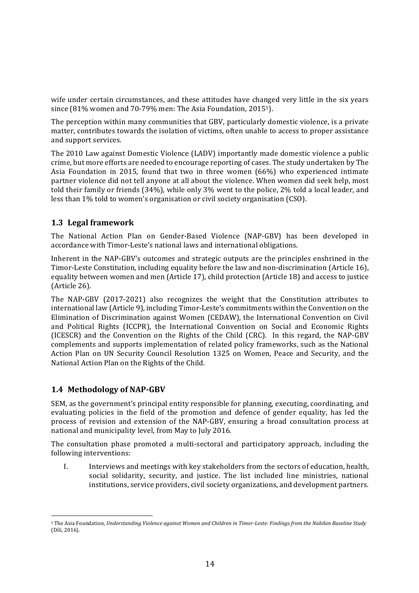wife under certain circumstances, and these attitudes have changed very little in the six years since  $(81\%$  women and  $70-79\%$  men: The Asia Foundation, 2015<sup>5</sup>).

The perception within many communities that GBV, particularly domestic violence, is a private matter, contributes towards the isolation of victims, often unable to access to proper assistance and support services.

The 2010 Law against Domestic Violence (LADV) importantly made domestic violence a public crime, but more efforts are needed to encourage reporting of cases. The study undertaken by The Asia Foundation in 2015, found that two in three women (66%) who experienced intimate partner violence did not tell anyone at all about the violence. When women did seek help, most told their family or friends (34%), while only 3% went to the police, 2% told a local leader, and less than 1% told to women's organisation or civil society organisation (CSO).

#### **1.3 Legal framework**

The National Action Plan on Gender-Based Violence (NAP-GBV) has been developed in accordance with Timor-Leste's national laws and international obligations.

Inherent in the NAP-GBV's outcomes and strategic outputs are the principles enshrined in the Timor-Leste Constitution, including equality before the law and non-discrimination (Article 16), equality between women and men (Article 17), child protection (Article 18) and access to justice (Article 26).

The NAP-GBV (2017-2021) also recognizes the weight that the Constitution attributes to international law (Article 9), including Timor-Leste's commitments within the Convention on the Elimination of Discrimination against Women (CEDAW), the International Convention on Civil and Political Rights (ICCPR), the International Convention on Social and Economic Rights (ICESCR) and the Convention on the Rights of the Child (CRC). In this regard, the NAP-GBV complements and supports implementation of related policy frameworks, such as the National Action Plan on UN Security Council Resolution 1325 on Women, Peace and Security, and the National Action Plan on the Rights of the Child.

#### **1.4!!Methodology of!NAP.GBV**

!!!!!!!!!!!!!!!!!!!!!!!!!!!!!!!!!!!!!!!!!!!!!!!!!!!!!!!

SEM, as the government's principal entity responsible for planning, executing, coordinating, and evaluating policies in the field of the promotion and defence of gender equality, has led the process of revision and extension of the NAP-GBV, ensuring a broad consultation process at national and municipality level, from May to July 2016.

The consultation phase promoted a multi-sectoral and participatory approach, including the following interventions:

I. Interviews and meetings with key stakeholders from the sectors of education, health, social solidarity, security, and justice. The list included line ministries, national institutions, service providers, civil society organizations, and development partners.

<sup>5</sup> The Asia Foundation, Understanding Violence against Women and Children in Timor-Leste: Findings from the Nabilan Baseline Study (Dili, 2016).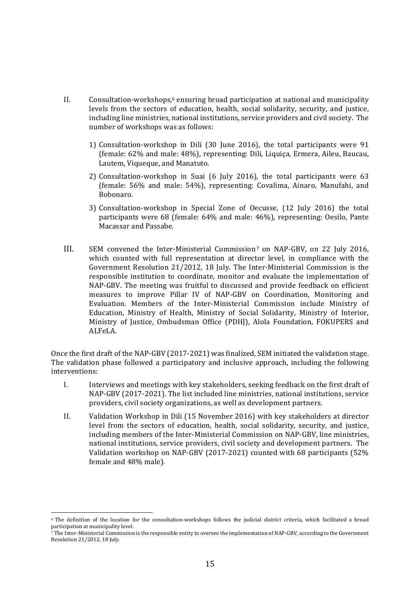- II. Consultation-workshops,<sup>6</sup> ensuring broad participation at national and municipality levels from the sectors of education, health, social solidarity, security, and justice, including line ministries, national institutions, service providers and civil society. The number of workshops was as follows:
	- 1) Consultation-workshop in Dili (30 June 2016), the total participants were  $91$ (female: 62% and male: 48%), representing: Dili, Liquiça, Ermera, Aileu, Baucau, Lautem, Viqueque, and Manatuto.
	- 2) Consultation-workshop in Suai (6 July 2016), the total participants were  $63$ (female:  $56%$  and male:  $54%$ ), representing: Covalima, Ainaro, Manufahi, and Bobonaro.!
	- 3) Consultation-workshop in Special Zone of Oecusse, (12 July 2016) the total participants were 68 (female: 64% and male: 46%), representing: Oesilo, Pante Macassar and Passabe.
- III. SEM convened the Inter-Ministerial Commission<sup>7</sup> on NAP-GBV, on 22 July 2016, which counted with full representation at director level, in compliance with the Government Resolution  $21/2012$ , 18 July. The Inter-Ministerial Commission is the responsible institution to coordinate, monitor and evaluate the implementation of NAP-GBV. The meeting was fruitful to discussed and provide feedback on efficient measures to improve Pillar IV of NAP-GBV on Coordination, Monitoring and Evaluation. Members of the Inter-Ministerial Commission include Ministry of Education, Ministry of Health, Ministry of Social Solidarity, Ministry of Interior, Ministry of Justice, Ombudsman Office (PDHJ), Alola Foundation, FOKUPERS and ALFeLA.

Once the first draft of the NAP-GBV (2017-2021) was finalized, SEM initiated the validation stage. The validation phase followed a participatory and inclusive approach, including the following interventions:

- I. Interviews and meetings with key stakeholders, seeking feedback on the first draft of NAP-GBV (2017-2021). The list included line ministries, national institutions, service providers, civil society organizations, as well as development partners.
- II. Validation Workshop in Dili (15 November 2016) with key stakeholders at director level from the sectors of education, health, social solidarity, security, and justice, including members of the Inter-Ministerial Commission on NAP-GBV, line ministries, national institutions, service providers, civil society and development partners. The Validation workshop on NAP-GBV (2017-2021) counted with 68 participants (52% female and 48% male).

<sup>&</sup>lt;sup>6</sup> The definition of the location for the consultation-workshops follows the judicial district criteria, which facilitated a broad participation at municipality level.

<sup>7</sup> The Inter-Ministerial Commission is the responsible entity to oversee the implementation of NAP-GBV, according to the Government Resolution 21/2012, 18 July.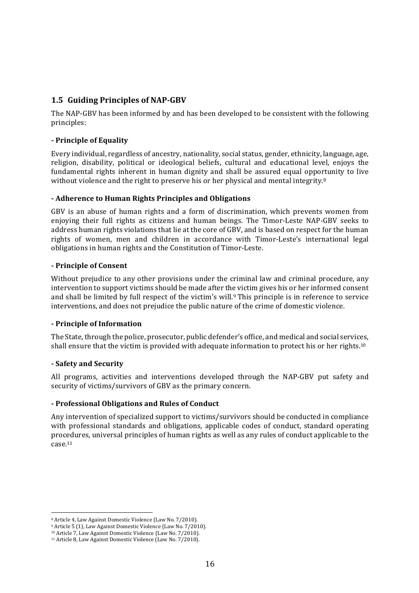#### **1.5 Guiding Principles of NAP-GBV**

The NAP-GBV has been informed by and has been developed to be consistent with the following principles:

#### **. Principle!of!Equality**

Every individual, regardless of ancestry, nationality, social status, gender, ethnicity, language, age, religion, disability, political or ideological beliefs, cultural and educational level, enjoys the fundamental rights inherent in human dignity and shall be assured equal opportunity to live without violence and the right to preserve his or her physical and mental integrity.<sup>8</sup>

#### **. Adherence!to!Human!Rights!Principles!and!Obligations**

GBV is an abuse of human rights and a form of discrimination, which prevents women from enjoying their full rights as citizens and human beings. The Timor-Leste NAP-GBV seeks to address human rights violations that lie at the core of GBV, and is based on respect for the human rights of women, men and children in accordance with Timor-Leste's international legal obligations in human rights and the Constitution of Timor-Leste.

#### **. Principle!of!Consent**

Without prejudice to any other provisions under the criminal law and criminal procedure, any intervention to support victims should be made after the victim gives his or her informed consent and shall be limited by full respect of the victim's will.<sup>9</sup> This principle is in reference to service interventions, and does not prejudice the public nature of the crime of domestic violence.

#### **. Principle!of!Information**

The State, through the police, prosecutor, public defender's office, and medical and social services, shall ensure that the victim is provided with adequate information to protect his or her rights.<sup>10</sup>

#### **. Safety!and!Security**

All programs, activities and interventions developed through the NAP-GBV put safety and security of victims/survivors of GBV as the primary concern.

#### **. Professional!Obligations!and!Rules!of!Conduct**

Any intervention of specialized support to victims/survivors should be conducted in compliance with professional standards and obligations, applicable codes of conduct, standard operating procedures, universal principles of human rights as well as any rules of conduct applicable to the case.11

<sup>&</sup>lt;sup>8</sup> Article 4, Law Against Domestic Violence (Law No. 7/2010).

<sup>&</sup>lt;sup>9</sup> Article 5 (1), Law Against Domestic Violence (Law No. 7/2010).

<sup>&</sup>lt;sup>10</sup> Article 7, Law Against Domestic Violence (Law No. 7/2010).

<sup>&</sup>lt;sup>11</sup> Article 8, Law Against Domestic Violence (Law No. 7/2010).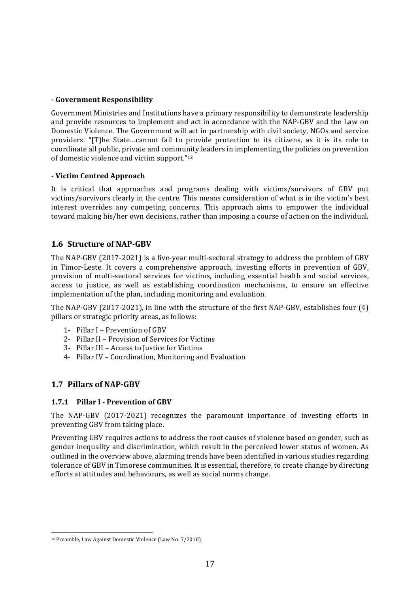#### **. Government!Responsibility**

Government Ministries and Institutions have a primary responsibility to demonstrate leadership and provide resources to implement and act in accordance with the NAP-GBV and the Law on Domestic Violence. The Government will act in partnership with civil society, NGOs and service providers. "[T]he State...cannot fail to provide protection to its citizens, as it is its role to coordinate all public, private and community leaders in implementing the policies on prevention of domestic violence and victim support."<sup>12</sup>

#### **. Victim Centred!Approach**

It is critical that approaches and programs dealing with victims/survivors of GBV put victims/survivors clearly in the centre. This means consideration of what is in the victim's best interest overrides any competing concerns. This approach aims to empower the individual toward making his/her own decisions, rather than imposing a course of action on the individual.

#### **1.6 Structure of NAP-GBV**

The NAP-GBV (2017-2021) is a five-year multi-sectoral strategy to address the problem of GBV in Timor-Leste. It covers a comprehensive approach, investing efforts in prevention of GBV, provision of multi-sectoral services for victims, including essential health and social services, access to justice, as well as establishing coordination mechanisms, to ensure an effective implementation of the plan, including monitoring and evaluation.

The NAP-GBV (2017-2021), in line with the structure of the first NAP-GBV, establishes four (4) pillars or strategic priority areas, as follows:

- 1- Pillar I Prevention of GBV
- 2- Pillar II Provision of Services for Victims
- 3- Pillar III Access to Justice for Victims
- 4- Pillar IV Coordination, Monitoring and Evaluation

#### **1.7 Pillars!of!NAP.GBV**

#### **1.7.1 Pillar!I . Prevention!of!GBV**

The NAP-GBV (2017-2021) recognizes the paramount importance of investing efforts in preventing GBV from taking place.

Preventing GBV requires actions to address the root causes of violence based on gender, such as gender inequality and discrimination, which result in the perceived lower status of women. As outlined in the overview above, alarming trends have been identified in various studies regarding tolerance of GBV in Timorese communities. It is essential, therefore, to create change by directing efforts at attitudes and behaviours, as well as social norms change.

<sup>&</sup>lt;sup>12</sup> Preamble, Law Against Domestic Violence (Law No. 7/2010).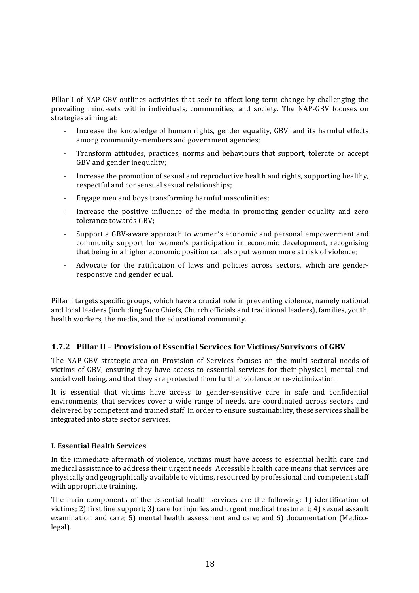Pillar I of NAP-GBV outlines activities that seek to affect long-term change by challenging the prevailing mind-sets within individuals, communities, and society. The NAP-GBV focuses on strategies aiming at:

- Increase the knowledge of human rights, gender equality, GBV, and its harmful effects among community-members and government agencies;
- Transform attitudes, practices, norms and behaviours that support, tolerate or accept GBV and gender inequality;
- Increase the promotion of sexual and reproductive health and rights, supporting healthy, respectful and consensual sexual relationships;
- Engage men and boys transforming harmful masculinities;
- Increase the positive influence of the media in promoting gender equality and zero tolerance towards GBV:
- <sup>-</sup> Support a GBV-aware approach to women's economic and personal empowerment and community support for women's participation in economic development, recognising that being in a higher economic position can also put women more at risk of violence;
- Advocate for the ratification of laws and policies across sectors, which are genderresponsive and gender equal.

Pillar I targets specific groups, which have a crucial role in preventing violence, namely national and local leaders (including Suco Chiefs, Church officials and traditional leaders), families, youth, health workers, the media, and the educational community.

#### **1.7.2 Pillar II - Provision of Essential Services for Victims/Survivors of GBV**

The NAP-GBV strategic area on Provision of Services focuses on the multi-sectoral needs of victims of GBV, ensuring they have access to essential services for their physical, mental and social well being, and that they are protected from further violence or re-victimization.

It is essential that victims have access to gender-sensitive care in safe and confidential environments, that services cover a wide range of needs, are coordinated across sectors and delivered by competent and trained staff. In order to ensure sustainability, these services shall be integrated into state sector services.

#### **I. Essential Health Services**

In the immediate aftermath of violence, victims must have access to essential health care and medical assistance to address their urgent needs. Accessible health care means that services are physically and geographically available to victims, resourced by professional and competent staff with appropriate training.

The main components of the essential health services are the following: 1) identification of victims; 2) first line support; 3) care for injuries and urgent medical treatment; 4) sexual assault examination and care; 5) mental health assessment and care; and 6) documentation (Medicolegal).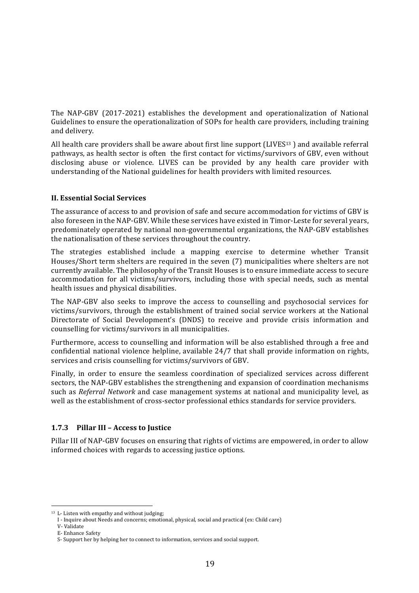The NAP-GBV (2017-2021) establishes the development and operationalization of National Guidelines to ensure the operationalization of SOPs for health care providers, including training and delivery.

All health care providers shall be aware about first line support (LIVES $13$ ) and available referral pathways, as health sector is often the first contact for victims/survivors of GBV, even without disclosing abuse or violence. LIVES can be provided by any health care provider with understanding of the National guidelines for health providers with limited resources.

#### **II. Essential Social Services**

The assurance of access to and provision of safe and secure accommodation for victims of GBV is also foreseen in the NAP-GBV. While these services have existed in Timor-Leste for several years, predominately operated by national non-governmental organizations, the NAP-GBV establishes the nationalisation of these services throughout the country.

The strategies established include a mapping exercise to determine whether Transit Houses/Short term shelters are required in the seven (7) municipalities where shelters are not currently available. The philosophy of the Transit Houses is to ensure immediate access to secure accommodation for all victims/survivors, including those with special needs, such as mental health issues and physical disabilities.

The NAP-GBV also seeks to improve the access to counselling and psychosocial services for victims/survivors, through the establishment of trained social service workers at the National Directorate of Social Development's (DNDS) to receive and provide crisis information and counselling for victims/survivors in all municipalities.

Furthermore, access to counselling and information will be also established through a free and confidential national violence helpline, available 24/7 that shall provide information on rights, services and crisis counselling for victims/survivors of GBV.

Finally, in order to ensure the seamless coordination of specialized services across different sectors, the NAP-GBV establishes the strengthening and expansion of coordination mechanisms such as *Referral Network* and case management systems at national and municipality level, as well as the establishment of cross-sector professional ethics standards for service providers.

#### **1.7.3** Pillar III – Access to Justice

Pillar III of NAP-GBV focuses on ensuring that rights of victims are empowered, in order to allow informed choices with regards to accessing justice options.

 $13$  L- Listen with empathy and without judging;

I - Inquire about Needs and concerns; emotional, physical, social and practical (ex: Child care)

V-Validate

E-Enhance Safety

S- Support her by helping her to connect to information, services and social support.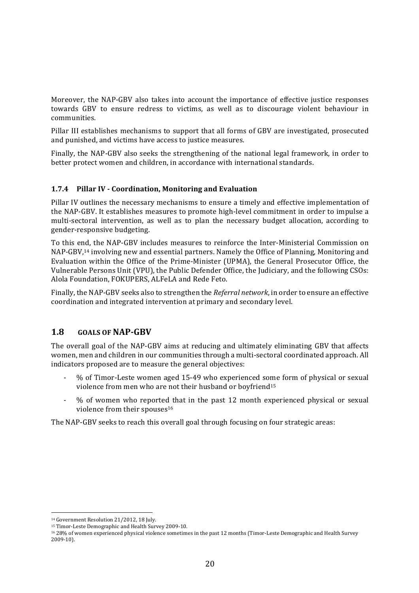Moreover, the NAP-GBV also takes into account the importance of effective justice responses towards GBV to ensure redress to victims, as well as to discourage violent behaviour in communities.

Pillar III establishes mechanisms to support that all forms of GBV are investigated, prosecuted and punished, and victims have access to justice measures.

Finally, the NAP-GBV also seeks the strengthening of the national legal framework, in order to better protect women and children, in accordance with international standards.

#### **1.7.4 Pillar!IV!. Coordination,!Monitoring!and!Evaluation**

Pillar IV outlines the necessary mechanisms to ensure a timely and effective implementation of the NAP-GBV. It establishes measures to promote high-level commitment in order to impulse a multi-sectoral intervention, as well as to plan the necessary budget allocation, according to gender-responsive budgeting.

To this end, the NAP-GBV includes measures to reinforce the Inter-Ministerial Commission on NAP-GBV,<sup>14</sup> involving new and essential partners. Namely the Office of Planning, Monitoring and Evaluation within the Office of the Prime-Minister (UPMA), the General Prosecutor Office, the Vulnerable Persons Unit (VPU), the Public Defender Office, the Judiciary, and the following CSOs: Alola Foundation, FOKUPERS, ALFeLA and Rede Feto.

Finally, the NAP-GBV seeks also to strengthen the *Referral network*, in order to ensure an effective coordination and integrated intervention at primary and secondary level.

#### **1.8 GOALS OF NAP-GBV**

The overall goal of the NAP-GBV aims at reducing and ultimately eliminating GBV that affects women, men and children in our communities through a multi-sectoral coordinated approach. All indicators proposed are to measure the general objectives:

- % of Timor-Leste women aged 15-49 who experienced some form of physical or sexual violence from men who are not their husband or boyfriend<sup>15</sup>
- % of women who reported that in the past 12 month experienced physical or sexual violence from their spouses<sup>16</sup>

The NAP-GBV seeks to reach this overall goal through focusing on four strategic areas:

<sup>!!!!!!!!!!!!!!!!!!!!!!!!!!!!!!!!!!!!!!!!!!!!!!!!!!!!!!!</sup> <sup>14</sup> Government Resolution 21/2012, 18 July.

<sup>&</sup>lt;sup>15</sup> Timor-Leste Demographic and Health Survey 2009-10.

 $1628\%$  of women experienced physical violence sometimes in the past 12 months (Timor-Leste Demographic and Health Survey 2009-10).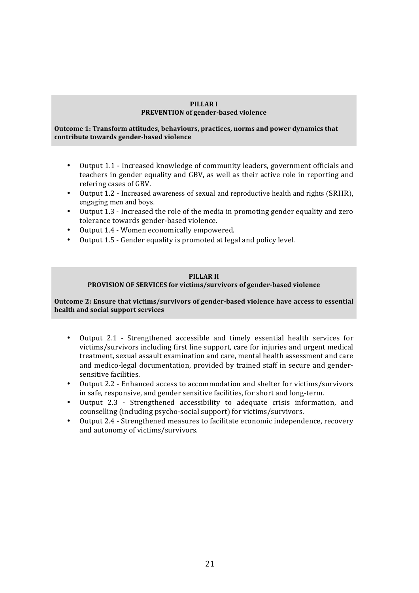#### **PILLAR!I! PREVENTION of gender-based violence**

**Outcome 1: Transform attitudes, behaviours, practices, norms and power dynamics that** contribute towards gender-based violence

- Output 1.1 Increased knowledge of community leaders, government officials and teachers in gender equality and GBV, as well as their active role in reporting and refering cases of GBV.
- Output 1.2 Increased awareness of sexual and reproductive health and rights (SRHR), engaging men and boys.
- Output 1.3 Increased the role of the media in promoting gender equality and zero tolerance towards gender-based violence.
- Output 1.4 Women economically empowered.
- Output 1.5 Gender equality is promoted at legal and policy level.

#### **PILLAR!II**

#### PROVISION OF SERVICES for victims/survivors of gender-based violence

**Outcome 2: Ensure that victims/survivors of gender-based violence have access to essential health!and!social!support!services**

- Output 2.1 Strengthened accessible and timely essential health services for victims/survivors including first line support, care for injuries and urgent medical treatment, sexual assault examination and care, mental health assessment and care and medico-legal documentation, provided by trained staff in secure and gendersensitive facilities.
- Output 2.2 Enhanced access to accommodation and shelter for victims/survivors in safe, responsive, and gender sensitive facilities, for short and long-term.
- Output 2.3 Strengthened accessibility to adequate crisis information, and counselling (including psycho-social support) for victims/survivors.
- Output 2.4 Strengthened measures to facilitate economic independence, recovery and autonomy of victims/survivors.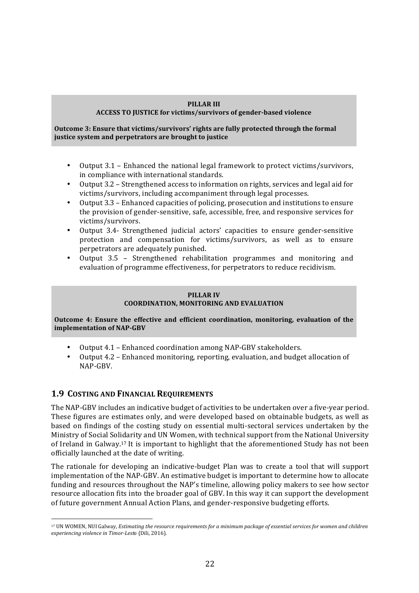#### **PILLAR!III**

#### ACCESS TO JUSTICE for victims/survivors of gender-based violence

#### **Outcome 3: Ensure that victims/survivors' rights are fully protected through the formal** justice system and perpetrators are brought to justice

- Output  $3.1$  Enhanced the national legal framework to protect victims/survivors, in compliance with international standards.
- Output 3.2 Strengthened access to information on rights, services and legal aid for victims/survivors, including accompaniment through legal processes.
- Output 3.3 Enhanced capacities of policing, prosecution and institutions to ensure the provision of gender-sensitive, safe, accessible, free, and responsive services for victims/survivors.
- Output 3.4- Strengthened judicial actors' capacities to ensure gender-sensitive protection and compensation for victims/survivors, as well as to ensure perpetrators are adequately punished.
- Output 3.5 Strengthened rehabilitation programmes and monitoring and evaluation of programme effectiveness, for perpetrators to reduce recidivism.

#### **PILLAR!IV COORDINATION, MONITORING AND EVALUATION**

**Outcome 4: Ensure the effective and efficient coordination, monitoring, evaluation of the implementation of NAP-GBV** 

- Output 4.1 Enhanced coordination among NAP-GBV stakeholders.
- Output 4.2 Enhanced monitoring, reporting, evaluation, and budget allocation of NAP-GBV.

#### **1.9 COSTING AND FINANCIAL REQUIREMENTS**

!!!!!!!!!!!!!!!!!!!!!!!!!!!!!!!!!!!!!!!!!!!!!!!!!!!!!!!

The NAP-GBV includes an indicative budget of activities to be undertaken over a five-year period. These figures are estimates only, and were developed based on obtainable budgets, as well as based on findings of the costing study on essential multi-sectoral services undertaken by the Ministry of Social Solidarity and UN Women, with technical support from the National University of Ireland in Galway.<sup>17</sup> It is important to highlight that the aforementioned Study has not been officially launched at the date of writing.

The rationale for developing an indicative-budget Plan was to create a tool that will support implementation of the NAP-GBV. An estimative budget is important to determine how to allocate funding and resources throughout the NAP's timeline, allowing policy makers to see how sector resource allocation fits into the broader goal of GBV. In this way it can support the development of future government Annual Action Plans, and gender-responsive budgeting efforts.

<sup>&</sup>lt;sup>17</sup> UN WOMEN, NUI Galway, *Estimating the resource requirements for a minimum package of essential services for women and children experiencing violence in Timor-Leste (Dili, 2016).*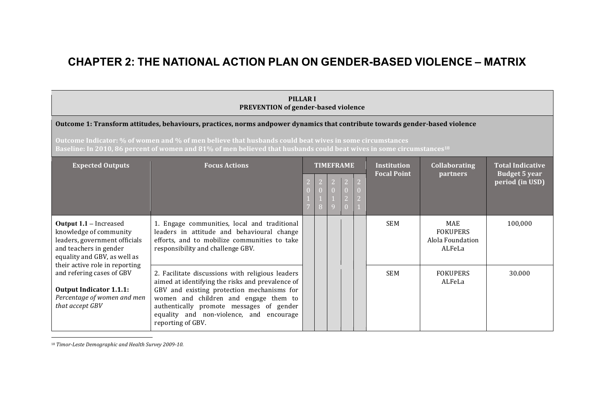### **CHAPTER 2: THE NATIONAL ACTION PLAN ON GENDER1BASED VIOLENCE – MATRIX**

### **PILLARI PREVENTION** of gender-based violence **Outcome 1: Transform attitudes, behaviours, practices, norms andpower dynamics that contribute towards gender-based violence Outcome Indicator: % of women and % of men believe that husbands could beat wives in some circumstances Baseline: In 2010, 86 percent of women and 81% of men believed that husbands could beat wives in some circumstances<sup>18</sup>**

| <b>Expected Outputs</b>                                                                                                                                                              | <b>Focus Actions</b>                                                                                                                                                                                                                                                                                     |  | <b>TIMEFRAME</b> |  | <b>Institution</b><br><b>Focal Point</b> | <b>Collaborating</b><br><b>partners</b>                     | <b>Total Indicative</b><br><b>Budget 5 year</b><br>period (in USD) |
|--------------------------------------------------------------------------------------------------------------------------------------------------------------------------------------|----------------------------------------------------------------------------------------------------------------------------------------------------------------------------------------------------------------------------------------------------------------------------------------------------------|--|------------------|--|------------------------------------------|-------------------------------------------------------------|--------------------------------------------------------------------|
| <b>Output 1.1 – Increased</b><br>knowledge of community<br>leaders, government officials<br>and teachers in gender<br>equality and GBV, as well as<br>their active role in reporting | 1. Engage communities, local and traditional<br>leaders in attitude and behavioural change<br>efforts, and to mobilize communities to take<br>responsibility and challenge GBV.                                                                                                                          |  |                  |  | <b>SEM</b>                               | <b>MAE</b><br><b>FOKUPERS</b><br>Alola Foundation<br>ALFeLa | 100,000                                                            |
| and refering cases of GBV<br><b>Output Indicator 1.1.1:</b><br>Percentage of women and men<br>that accept GBV                                                                        | 2. Facilitate discussions with religious leaders<br>aimed at identifying the risks and prevalence of<br>GBV and existing protection mechanisms for<br>women and children and engage them to<br>authentically promote messages of gender<br>equality and non-violence, and encourage<br>reporting of GBV. |  |                  |  | <b>SEM</b>                               | <b>FOKUPERS</b><br>ALFeLa                                   | 30.000                                                             |

<sup>18</sup> Timor-Leste Demographic and Health Survey 2009-10.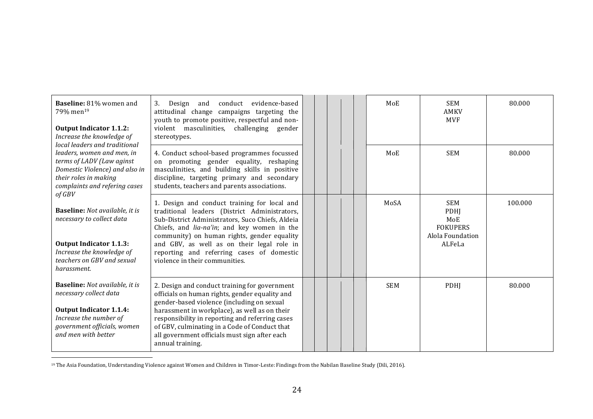| Baseline: 81% women and<br>79% men <sup>19</sup><br><b>Output Indicator 1.1.2:</b><br>Increase the knowledge of<br>local leaders and traditional                                  | conduct<br>evidence-based<br>3.<br>Design and<br>attitudinal change campaigns targeting the<br>youth to promote positive, respectful and non-<br>violent masculinities, challenging gender<br>stereotypes.                                                                                                                                                                   |  |  | MoE        | <b>SEM</b><br><b>AMKV</b><br><b>MVF</b>                                    | 80.000  |
|-----------------------------------------------------------------------------------------------------------------------------------------------------------------------------------|------------------------------------------------------------------------------------------------------------------------------------------------------------------------------------------------------------------------------------------------------------------------------------------------------------------------------------------------------------------------------|--|--|------------|----------------------------------------------------------------------------|---------|
| leaders, women and men, in<br>terms of LADV (Law aginst<br>Domestic Violence) and also in<br>their roles in making<br>complaints and refering cases<br>$of$ $GBV$                 | 4. Conduct school-based programmes focussed<br>on promoting gender equality, reshaping<br>masculinities, and building skills in positive<br>discipline, targeting primary and secondary<br>students, teachers and parents associations.                                                                                                                                      |  |  | MoE        | <b>SEM</b>                                                                 | 80.000  |
| <b>Baseline:</b> Not available, it is<br>necessary to collect data<br><b>Output Indicator 1.1.3:</b><br>Increase the knowledge of<br>teachers on GBV and sexual<br>harassment.    | 1. Design and conduct training for local and<br>traditional leaders (District Administrators,<br>Sub-District Administrators, Suco Chiefs, Aldeia<br>Chiefs, and lia-na'in; and key women in the<br>community) on human rights, gender equality<br>and GBV, as well as on their legal role in<br>reporting and referring cases of domestic<br>violence in their communities. |  |  | MoSA       | <b>SEM</b><br>PDHJ<br>MoE<br><b>FOKUPERS</b><br>Alola Foundation<br>ALFeLa | 100.000 |
| <b>Baseline:</b> Not available, it is<br>necessary collect data<br><b>Output Indicator 1.1.4:</b><br>Increase the number of<br>government officials, women<br>and men with better | 2. Design and conduct training for government<br>officials on human rights, gender equality and<br>gender-based violence (including on sexual<br>harassment in workplace), as well as on their<br>responsibility in reporting and referring cases<br>of GBV, culminating in a Code of Conduct that<br>all government officials must sign after each<br>annual training.      |  |  | <b>SEM</b> | <b>PDHI</b>                                                                | 80.000  |

 $^{19}$  The Asia Foundation, Understanding Violence against Women and Children in Timor-Leste: Findings from the Nabilan Baseline Study (Dili, 2016).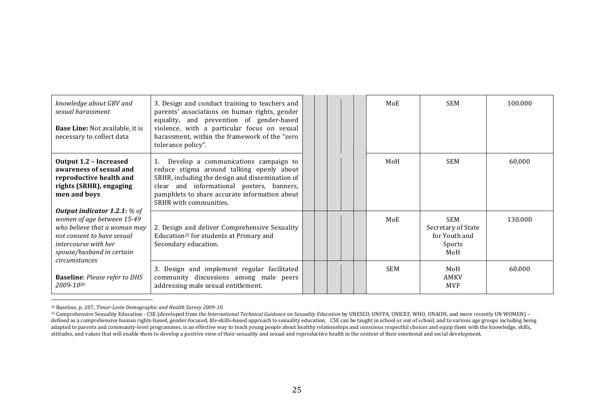| knowledge about GBV and<br>sexual harassment<br><b>Base Line: Not available, it is</b><br>necessary to collect data                                                                                            | 3. Design and conduct training to teachers and<br>parents' associations on human rights, gender<br>equality, and prevention of gender-based<br>violence, with a particular focus on sexual<br>harassment, within the framework of the "zero<br>tolerance policy". | MoE        | <b>SEM</b>                                                         | 100.000 |
|----------------------------------------------------------------------------------------------------------------------------------------------------------------------------------------------------------------|-------------------------------------------------------------------------------------------------------------------------------------------------------------------------------------------------------------------------------------------------------------------|------------|--------------------------------------------------------------------|---------|
| <b>Output 1.2 - Increased</b><br>awareness of sexual and<br>reproductive health and<br>rights (SRHR), engaging<br>men and boys                                                                                 | 1. Develop a communications campaign to<br>reduce stigma around talking openly about<br>SRHR, including the design and dissemination of<br>clear and informational posters, banners,<br>pamphlets to share accurate information about<br>SRHR with communities.   | MoH        | <b>SEM</b>                                                         | 60,000  |
| <b>Output indicator 1.2.1:</b> $%$ of<br>women of age between 15-49<br>who believe that a woman may<br>not consent to have sexual<br><i>intercourse with her</i><br>spouse/husband in certain<br>circumstances | 2. Design and deliver Comprehensive Sexuality<br>Education <sup>22</sup> for students at Primary and<br>Secondary education.                                                                                                                                      | MoE        | <b>SEM</b><br>Secretary of State<br>for Youth and<br>Sports<br>MoH | 130.000 |
| <b>Baseline: Please refer to DHS</b><br>2009-10 <sup>20</sup>                                                                                                                                                  | 3. Design and implement regular facilitated<br>community discussions among male peers<br>addressing male sexual entitlement.                                                                                                                                      | <b>SEM</b> | MoH<br><b>AMKV</b><br><b>MVF</b>                                   | 60.000  |

<sup>&</sup>lt;sup>20</sup> Baseline, p. 207, Timor-Leste Demographic and Health Survey 2009-10.

<sup>&</sup>lt;sup>22</sup> Comprehensive Sexuality Education - CSE (developed from *the International Technical Guidance on Sexuality Education* by UNESCO, UNFPA, UNICEF, WHO, UNAIDS, and more recently UN WOMEN) – defined as a comprehensive human rights-based, gender-focused, life-skills-based approach to sexuality education. CSE can be taught in school or out of school, and to various age groups including being adapted to parents and community-level programmes, is an effective way to teach young people about healthy relationships and conscious respectful choices and equip them with the knowledge, skills, attitudes, and values that will enable them to develop a positive view of their sexuality and sexual and reproductive health in the context of their emotional and social development.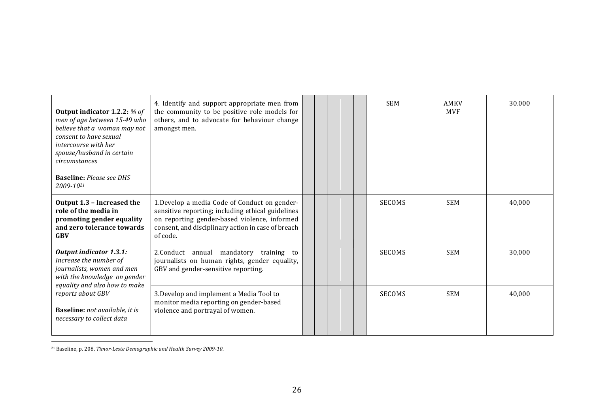| <b>Output indicator 1.2.2: % of</b><br>men of age between 15-49 who<br>believe that a woman may not<br>consent to have sexual<br>intercourse with her<br>spouse/husband in certain<br>circumstances<br><b>Baseline:</b> Please see DHS<br>2009-1021 | 4. Identify and support appropriate men from<br>the community to be positive role models for<br>others, and to advocate for behaviour change<br>amongst men.                                                         |  |  | <b>SEM</b>    | AMKV<br><b>MVF</b> | 30.000 |
|-----------------------------------------------------------------------------------------------------------------------------------------------------------------------------------------------------------------------------------------------------|----------------------------------------------------------------------------------------------------------------------------------------------------------------------------------------------------------------------|--|--|---------------|--------------------|--------|
| Output 1.3 - Increased the<br>role of the media in<br>promoting gender equality<br>and zero tolerance towards<br><b>GBV</b>                                                                                                                         | 1. Develop a media Code of Conduct on gender-<br>sensitive reporting; including ethical guidelines<br>on reporting gender-based violence, informed<br>consent, and disciplinary action in case of breach<br>of code. |  |  | <b>SECOMS</b> | <b>SEM</b>         | 40,000 |
| Output indicator 1.3.1:<br>Increase the number of<br>journalists, women and men<br>with the knowledge on gender                                                                                                                                     | 2. Conduct annual mandatory training to<br>journalists on human rights, gender equality,<br>GBV and gender-sensitive reporting.                                                                                      |  |  | <b>SECOMS</b> | <b>SEM</b>         | 30.000 |
| equality and also how to make<br>reports about GBV<br><b>Baseline:</b> not available, it is<br>necessary to collect data                                                                                                                            | 3. Develop and implement a Media Tool to<br>monitor media reporting on gender-based<br>violence and portrayal of women.                                                                                              |  |  | <b>SECOMS</b> | <b>SEM</b>         | 40,000 |

<sup>21</sup> Baseline, p. 208, Timor-Leste Demographic and Health Survey 2009-10.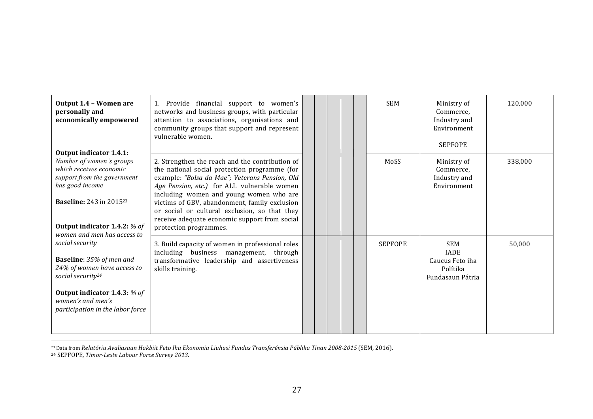| Output 1.4 - Women are<br>personally and<br>economically empowered                                                                                                                                                                                 | 1. Provide financial support to women's<br>networks and business groups, with particular<br>attention to associations, organisations and<br>community groups that support and represent<br>vulnerable women.                                                                                                                                                                                                              |  |  | <b>SEM</b>     | Ministry of<br>Commerce,<br>Industry and<br>Environment<br><b>SEPFOPE</b>    | 120,000 |
|----------------------------------------------------------------------------------------------------------------------------------------------------------------------------------------------------------------------------------------------------|---------------------------------------------------------------------------------------------------------------------------------------------------------------------------------------------------------------------------------------------------------------------------------------------------------------------------------------------------------------------------------------------------------------------------|--|--|----------------|------------------------------------------------------------------------------|---------|
| Output indicator 1.4.1:<br>Number of women's groups<br>which receives economic<br>support from the government<br>has good income<br><b>Baseline: 243 in 201523</b><br><b>Output indicator 1.4.2: % of</b>                                          | 2. Strengthen the reach and the contribution of<br>the national social protection programme (for<br>example: "Bolsa da Mae"; Veterans Pension, Old<br>Age Pension, etc.) for ALL vulnerable women<br>including women and young women who are<br>victims of GBV, abandonment, family exclusion<br>or social or cultural exclusion, so that they<br>receive adequate economic support from social<br>protection programmes. |  |  | MoSS           | Ministry of<br>Commerce,<br>Industry and<br>Environment                      | 338,000 |
| women and men has access to<br>social security<br><b>Baseline</b> : 35% of men and<br>24% of women have access to<br>social security <sup>24</sup><br><b>Output indicator 1.4.3: % of</b><br>women's and men's<br>participation in the labor force | 3. Build capacity of women in professional roles<br>including business management, through<br>transformative leadership and assertiveness<br>skills training.                                                                                                                                                                                                                                                             |  |  | <b>SEPFOPE</b> | <b>SEM</b><br><b>IADE</b><br>Caucus Feto iha<br>Polítika<br>Fundasaun Pátria | 50,000  |

<sup>23</sup> Data from *Relatóriu Avaliasaun Hakbiit Feto Iha Ekonomia Liuhusi Fundus Transferénsia Públika Tinan 2008-2015 (SEM, 2016).* 

<sup>24</sup> SEPFOPE, Timor-Leste Labour Force Survey 2013.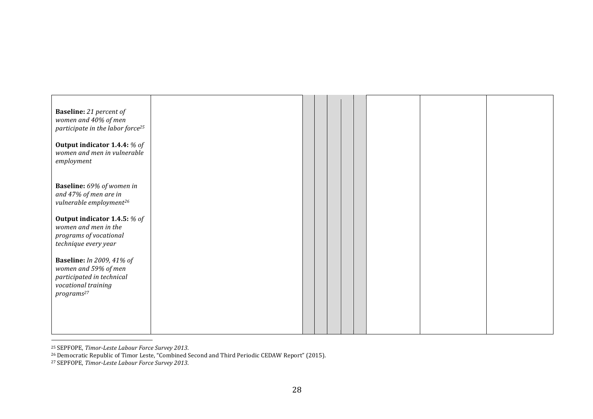| <b>Baseline:</b> 21 percent of<br>women and 40% of men<br>participate in the labor force <sup>25</sup>                                 |  |  |  |  |  |
|----------------------------------------------------------------------------------------------------------------------------------------|--|--|--|--|--|
| Output indicator 1.4.4: % of<br>women and men in vulnerable<br>employment                                                              |  |  |  |  |  |
| Baseline: 69% of women in<br>and 47% of men are in<br>vulnerable employment <sup>26</sup>                                              |  |  |  |  |  |
| Output indicator 1.4.5: % of<br>women and men in the<br>programs of vocational<br>technique every year                                 |  |  |  |  |  |
| <b>Baseline:</b> In 2009, 41% of<br>women and 59% of men<br>participated in technical<br>vocational training<br>programs <sup>27</sup> |  |  |  |  |  |
|                                                                                                                                        |  |  |  |  |  |

<sup>25</sup> SEPFOPE, Timor-Leste Labour Force Survey 2013.

!!!!!!!!!!!!!!!!!!!!!!!!!!!!!!!!!!!!!!!!!!!!!!!!!!!!!!!

<sup>26</sup> Democratic Republic of Timor Leste, "Combined Second and Third Periodic CEDAW Report" (2015).

<sup>27</sup> SEPFOPE, Timor-Leste Labour Force Survey 2013.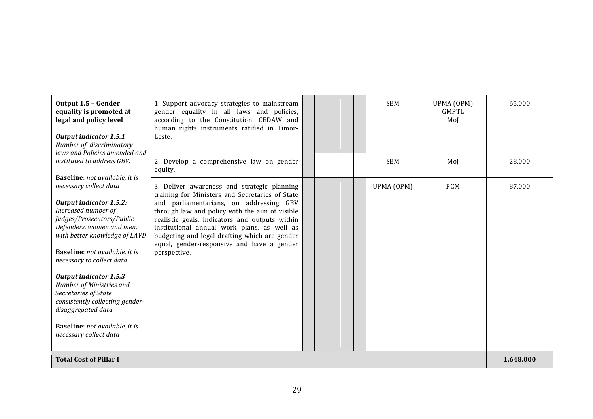| Output 1.5 - Gender<br>equality is promoted at<br>legal and policy level<br><b>Output indicator 1.5.1</b><br>Number of discriminatory                                                                                                                                                                                                                                                                                                                                                                  | 1. Support advocacy strategies to mainstream<br>gender equality in all laws and policies,<br>according to the Constitution, CEDAW and<br>human rights instruments ratified in Timor-<br>Leste.                                                                                                                                                                                                              |  | <b>SEM</b> | UPMA (OPM)<br>GMPTI.<br>Mol | 65.000    |
|--------------------------------------------------------------------------------------------------------------------------------------------------------------------------------------------------------------------------------------------------------------------------------------------------------------------------------------------------------------------------------------------------------------------------------------------------------------------------------------------------------|-------------------------------------------------------------------------------------------------------------------------------------------------------------------------------------------------------------------------------------------------------------------------------------------------------------------------------------------------------------------------------------------------------------|--|------------|-----------------------------|-----------|
| laws and Policies amended and<br>instituted to address GBV.                                                                                                                                                                                                                                                                                                                                                                                                                                            | 2. Develop a comprehensive law on gender<br>equity.                                                                                                                                                                                                                                                                                                                                                         |  | <b>SEM</b> | MoJ                         | 28.000    |
| Baseline: not available, it is<br>necessary collect data<br><b>Output indicator 1.5.2:</b><br>Increased number of<br>Judges/Prosecutors/Public<br>Defenders, women and men,<br>with better knowledge of LAVD<br><b>Baseline</b> : not available, it is<br>necessary to collect data<br><b>Output indicator 1.5.3</b><br>Number of Ministries and<br>Secretaries of State<br>consistently collecting gender-<br>disaggregated data.<br><b>Baseline</b> : not available, it is<br>necessary collect data | 3. Deliver awareness and strategic planning<br>training for Ministers and Secretaries of State<br>and parliamentarians, on addressing GBV<br>through law and policy with the aim of visible<br>realistic goals, indicators and outputs within<br>institutional annual work plans, as well as<br>budgeting and legal drafting which are gender<br>equal, gender-responsive and have a gender<br>perspective. |  | UPMA (OPM) | <b>PCM</b>                  | 87.000    |
| <b>Total Cost of Pillar I</b>                                                                                                                                                                                                                                                                                                                                                                                                                                                                          |                                                                                                                                                                                                                                                                                                                                                                                                             |  |            |                             | 1.648.000 |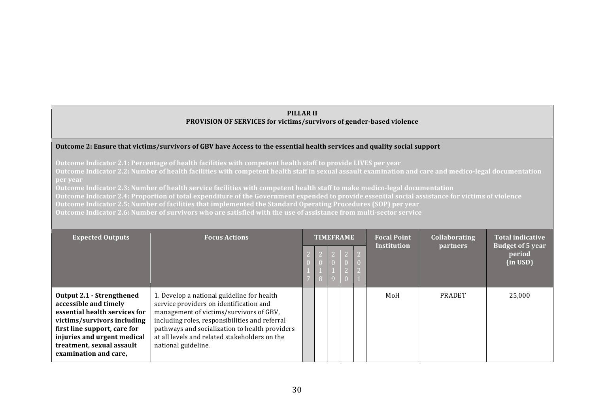#### **PILLAR II** PROVISION OF SERVICES for victims/survivors of gender-based violence

#### **Outcome 2: Ensure that victims/survivors of GBV have Access to the essential health services and quality social support**

**Outcome Indicator 2.1: Percentage of health facilities with competent health staff to provide LIVES per year** 

**Outcome Indicator 2.2: Number of health facilities with competent health staff in sexual assault examination and care and medico-legal documentation per&year**

**Outcome Indicator 2.3: Number of health service facilities with competent health staff to make medico-legal documentation** 

**Outcome Indicator 2.4: Proportion of total expenditure of the Government expended to provide essential social assistance for victims of violence** 

**Outcome Indicator 2.5: Number of facilities that implemented the Standard Operating Procedures (SOP) per year** 

**Outcome&Indicator 2.6: Number&of&survivors&who&are&satisfied&with&the&use of&assistance from&multi3sector service**

| <b>Expected Outputs</b>                                                                                                                                                                                                                 | <b>Focus Actions</b>                                                                                                                                                                                                                                                                                         | <b>TIMEFRAME</b> |  | <b>Focal Point</b><br><b>Institution</b> | <b>Collaborating</b><br><b>partners</b> | <b>Total indicative</b><br><b>Budget of 5 year</b><br>period<br>(in USD) |
|-----------------------------------------------------------------------------------------------------------------------------------------------------------------------------------------------------------------------------------------|--------------------------------------------------------------------------------------------------------------------------------------------------------------------------------------------------------------------------------------------------------------------------------------------------------------|------------------|--|------------------------------------------|-----------------------------------------|--------------------------------------------------------------------------|
| Output 2.1 - Strengthened<br>accessible and timely<br>essential health services for<br>victims/survivors including<br>first line support, care for<br>injuries and urgent medical<br>treatment, sexual assault<br>examination and care, | 1. Develop a national guideline for health<br>service providers on identification and<br>management of victims/survivors of GBV,<br>including roles, responsibilities and referral<br>pathways and socialization to health providers<br>at all levels and related stakeholders on the<br>national guideline. |                  |  | MoH                                      | <b>PRADET</b>                           | 25,000                                                                   |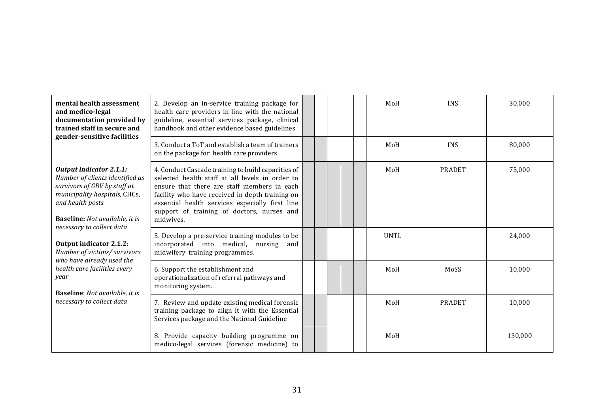| mental health assessment<br>and medico-legal<br>documentation provided by<br>trained staff in secure and<br>gender-sensitive facilities                                                                                      | 2. Develop an in-service training package for<br>health care providers in line with the national<br>guideline, essential services package, clinical<br>handbook and other evidence based guidelines                                                                                                                   |  |  | MoH                                            | <b>INS</b>    | 30,000  |
|------------------------------------------------------------------------------------------------------------------------------------------------------------------------------------------------------------------------------|-----------------------------------------------------------------------------------------------------------------------------------------------------------------------------------------------------------------------------------------------------------------------------------------------------------------------|--|--|------------------------------------------------|---------------|---------|
|                                                                                                                                                                                                                              | 3. Conduct a ToT and establish a team of trainers<br>on the package for health care providers                                                                                                                                                                                                                         |  |  | MoH<br>MoH<br><b>UNTL</b><br>MoH<br>MoH<br>MoH | <b>INS</b>    | 80,000  |
| <b>Output indicator 2.1.1:</b><br>Number of clients identified as<br>survivors of GBV by staff at<br>municipality hospitals, CHCs,<br>and health posts<br><b>Baseline:</b> Not available, it is<br>necessary to collect data | 4. Conduct Cascade training to build capacities of<br>selected health staff at all levels in order to<br>ensure that there are staff members in each<br>facility who have received in depth training on<br>essential health services especially first line<br>support of training of doctors, nurses and<br>midwives. |  |  |                                                | <b>PRADET</b> | 75,000  |
| Output indicator 2.1.2:<br>Number of victims/ survivors<br>who have already used the                                                                                                                                         | 5. Develop a pre-service training modules to be<br>incorporated into medical, nursing and<br>midwifery training programmes.                                                                                                                                                                                           |  |  |                                                |               | 24,000  |
| health care facilities every<br>year<br><b>Baseline:</b> Not available, it is                                                                                                                                                | 6. Support the establishment and<br>operationalization of referral pathways and<br>monitoring system.                                                                                                                                                                                                                 |  |  |                                                | MoSS          | 10,000  |
| necessary to collect data                                                                                                                                                                                                    | 7. Review and update existing medical forensic<br>training package to align it with the Essential<br>Services package and the National Guideline                                                                                                                                                                      |  |  |                                                | <b>PRADET</b> | 10,000  |
|                                                                                                                                                                                                                              | 8. Provide capacity building programme on<br>medico-legal services (forensic medicine) to                                                                                                                                                                                                                             |  |  |                                                |               | 130,000 |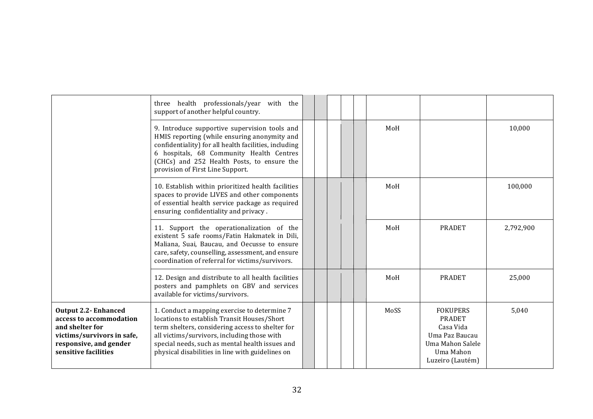|                                                                                                                                                           | three health professionals/year with the<br>support of another helpful country.                                                                                                                                                                                                                       |  |  |      |                                                                                                                      |           |
|-----------------------------------------------------------------------------------------------------------------------------------------------------------|-------------------------------------------------------------------------------------------------------------------------------------------------------------------------------------------------------------------------------------------------------------------------------------------------------|--|--|------|----------------------------------------------------------------------------------------------------------------------|-----------|
|                                                                                                                                                           | 9. Introduce supportive supervision tools and<br>HMIS reporting (while ensuring anonymity and<br>confidentiality) for all health facilities, including<br>6 hospitals, 68 Community Health Centres<br>(CHCs) and 252 Health Posts, to ensure the<br>provision of First Line Support.                  |  |  | MoH  |                                                                                                                      | 10,000    |
|                                                                                                                                                           | 10. Establish within prioritized health facilities<br>spaces to provide LIVES and other components<br>of essential health service package as required<br>ensuring confidentiality and privacy.                                                                                                        |  |  | MoH  |                                                                                                                      | 100,000   |
|                                                                                                                                                           | 11. Support the operationalization of the<br>existent 5 safe rooms/Fatin Hakmatek in Dili,<br>Maliana, Suai, Baucau, and Oecusse to ensure<br>care, safety, counselling, assessment, and ensure<br>coordination of referral for victims/survivors.                                                    |  |  | MoH  | <b>PRADET</b>                                                                                                        | 2,792,900 |
|                                                                                                                                                           | 12. Design and distribute to all health facilities<br>posters and pamphlets on GBV and services<br>available for victims/survivors.                                                                                                                                                                   |  |  | MoH  | <b>PRADET</b>                                                                                                        | 25,000    |
| <b>Output 2.2- Enhanced</b><br>access to accommodation<br>and shelter for<br>victims/survivors in safe,<br>responsive, and gender<br>sensitive facilities | 1. Conduct a mapping exercise to determine 7<br>locations to establish Transit Houses/Short<br>term shelters, considering access to shelter for<br>all victims/survivors, including those with<br>special needs, such as mental health issues and<br>physical disabilities in line with guidelines on |  |  | MoSS | <b>FOKUPERS</b><br><b>PRADET</b><br>Casa Vida<br>Uma Paz Baucau<br>Uma Mahon Salele<br>Uma Mahon<br>Luzeiro (Lautém) | 5,040     |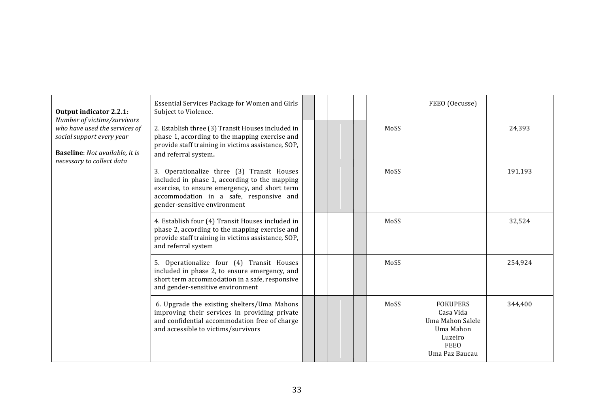| Output indicator 2.2.1:                                                                                                                                         | Essential Services Package for Women and Girls<br>Subject to Violence.                                                                                                                                                  |  |  |      | FEEO (Oecusse)                                                                                            |         |
|-----------------------------------------------------------------------------------------------------------------------------------------------------------------|-------------------------------------------------------------------------------------------------------------------------------------------------------------------------------------------------------------------------|--|--|------|-----------------------------------------------------------------------------------------------------------|---------|
| Number of victims/survivors<br>who have used the services of<br>social support every year<br><b>Baseline:</b> Not available, it is<br>necessary to collect data | 2. Establish three (3) Transit Houses included in<br>phase 1, according to the mapping exercise and<br>provide staff training in victims assistance, SOP,<br>and referral system.                                       |  |  | MoSS |                                                                                                           | 24,393  |
|                                                                                                                                                                 | 3. Operationalize three (3) Transit Houses<br>included in phase 1, according to the mapping<br>exercise, to ensure emergency, and short term<br>accommodation in a safe, responsive and<br>gender-sensitive environment |  |  | MoSS |                                                                                                           | 191,193 |
|                                                                                                                                                                 | 4. Establish four (4) Transit Houses included in<br>phase 2, according to the mapping exercise and<br>provide staff training in victims assistance, SOP,<br>and referral system                                         |  |  | MoSS |                                                                                                           | 32,524  |
|                                                                                                                                                                 | 5. Operationalize four (4) Transit Houses<br>included in phase 2, to ensure emergency, and<br>short term accommodation in a safe, responsive<br>and gender-sensitive environment                                        |  |  | MoSS |                                                                                                           | 254,924 |
|                                                                                                                                                                 | 6. Upgrade the existing shelters/Uma Mahons<br>improving their services in providing private<br>and confidential accommodation free of charge<br>and accessible to victims/survivors                                    |  |  | MoSS | <b>FOKUPERS</b><br>Casa Vida<br>Uma Mahon Salele<br>Uma Mahon<br>Luzeiro<br><b>FEEO</b><br>Uma Paz Baucau | 344,400 |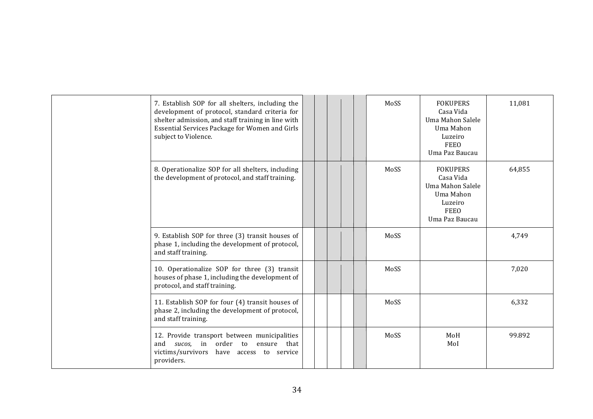| 7. Establish SOP for all shelters, including the<br>development of protocol, standard criteria for<br>shelter admission, and staff training in line with<br>Essential Services Package for Women and Girls<br>subject to Violence. |  | MoSS | <b>FOKUPERS</b><br>Casa Vida<br>Uma Mahon Salele<br>Uma Mahon<br>Luzeiro<br><b>FEEO</b><br>Uma Paz Baucau | 11,081 |
|------------------------------------------------------------------------------------------------------------------------------------------------------------------------------------------------------------------------------------|--|------|-----------------------------------------------------------------------------------------------------------|--------|
| 8. Operationalize SOP for all shelters, including<br>the development of protocol, and staff training.                                                                                                                              |  | MoSS | <b>FOKUPERS</b><br>Casa Vida<br>Uma Mahon Salele<br>Uma Mahon<br>Luzeiro<br><b>FEEO</b><br>Uma Paz Baucau | 64,855 |
| 9. Establish SOP for three (3) transit houses of<br>phase 1, including the development of protocol,<br>and staff training.                                                                                                         |  | MoSS |                                                                                                           | 4,749  |
| 10. Operationalize SOP for three (3) transit<br>houses of phase 1, including the development of<br>protocol, and staff training.                                                                                                   |  | MoSS |                                                                                                           | 7,020  |
| 11. Establish SOP for four (4) transit houses of<br>phase 2, including the development of protocol,<br>and staff training.                                                                                                         |  | MoSS |                                                                                                           | 6,332  |
| 12. Provide transport between municipalities<br>and sucos, in order to ensure that<br>victims/survivors have access to service<br>providers.                                                                                       |  | MoSS | MoH<br>Mol                                                                                                | 99.892 |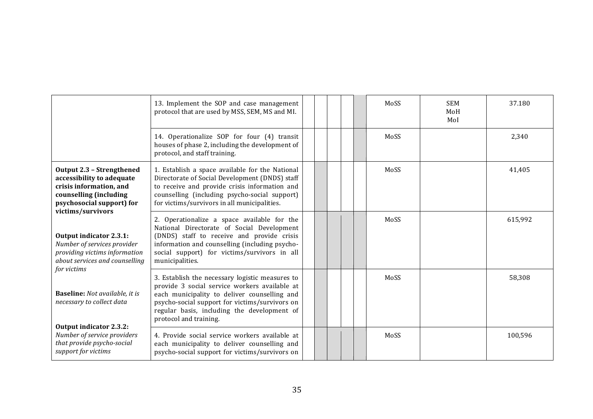|                                                                                                                                                                      | 13. Implement the SOP and case management<br>protocol that are used by MSS, SEM, MS and MI.                                                                                                                                                                                 |  |  | MoSS | <b>SEM</b><br>MoH<br>Mol | 37.180  |
|----------------------------------------------------------------------------------------------------------------------------------------------------------------------|-----------------------------------------------------------------------------------------------------------------------------------------------------------------------------------------------------------------------------------------------------------------------------|--|--|------|--------------------------|---------|
|                                                                                                                                                                      | 14. Operationalize SOP for four (4) transit<br>houses of phase 2, including the development of<br>protocol, and staff training.                                                                                                                                             |  |  | MoSS |                          | 2,340   |
| <b>Output 2.3 - Strengthened</b><br>accessibility to adequate<br>crisis information, and<br>counselling (including<br>psychosocial support) for<br>victims/survivors | 1. Establish a space available for the National<br>Directorate of Social Development (DNDS) staff<br>to receive and provide crisis information and<br>counselling (including psycho-social support)<br>for victims/survivors in all municipalities.                         |  |  | MoSS |                          | 41,405  |
| Output indicator 2.3.1:<br>Number of services provider<br>providing victims information<br>about services and counselling                                            | 2. Operationalize a space available for the<br>National Directorate of Social Development<br>(DNDS) staff to receive and provide crisis<br>information and counselling (including psycho-<br>social support) for victims/survivors in all<br>municipalities.                |  |  | MoSS |                          | 615,992 |
| for victims<br><b>Baseline:</b> Not available, it is<br>necessary to collect data                                                                                    | 3. Establish the necessary logistic measures to<br>provide 3 social service workers available at<br>each municipality to deliver counselling and<br>psycho-social support for victims/survivors on<br>regular basis, including the development of<br>protocol and training. |  |  | MoSS |                          | 58,308  |
| <b>Output indicator 2.3.2:</b><br>Number of service providers<br>that provide psycho-social<br>support for victims                                                   | 4. Provide social service workers available at<br>each municipality to deliver counselling and<br>psycho-social support for victims/survivors on                                                                                                                            |  |  | MoSS |                          | 100,596 |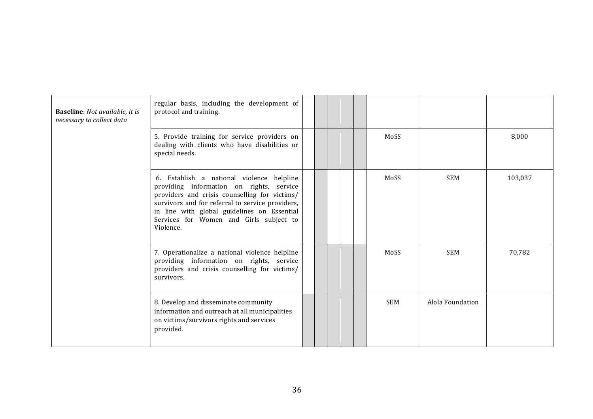| <b>Baseline:</b> Not available, it is<br>necessary to collect data | regular basis, including the development of<br>protocol and training.                                                                                                                                                                                                                             |  |  |            |                  |         |
|--------------------------------------------------------------------|---------------------------------------------------------------------------------------------------------------------------------------------------------------------------------------------------------------------------------------------------------------------------------------------------|--|--|------------|------------------|---------|
|                                                                    | 5. Provide training for service providers on<br>dealing with clients who have disabilities or<br>special needs.                                                                                                                                                                                   |  |  | MoSS       |                  | 8,000   |
|                                                                    | 6. Establish a national violence helpline<br>providing information on rights, service<br>providers and crisis counselling for victims/<br>survivors and for referral to service providers,<br>in line with global guidelines on Essential<br>Services for Women and Girls subject to<br>Violence. |  |  | MoSS       | <b>SEM</b>       | 103,037 |
|                                                                    | 7. Operationalize a national violence helpline<br>providing information on rights, service<br>providers and crisis counselling for victims/<br>survivors.                                                                                                                                         |  |  | MoSS       | <b>SEM</b>       | 70,782  |
|                                                                    | 8. Develop and disseminate community<br>information and outreach at all municipalities<br>on victims/survivors rights and services<br>provided.                                                                                                                                                   |  |  | <b>SEM</b> | Alola Foundation |         |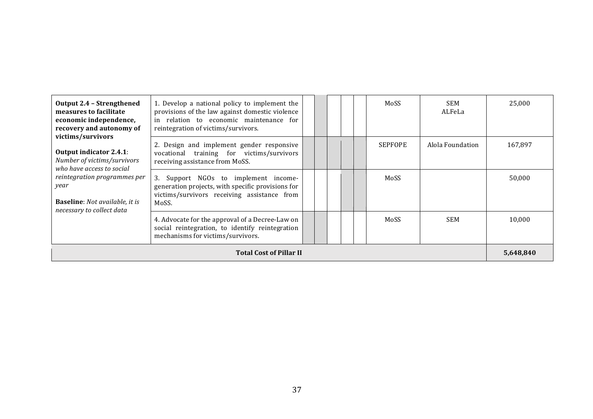| Output 2.4 - Strengthened<br>measures to facilitate<br>economic independence,<br>recovery and autonomy of       | 1. Develop a national policy to implement the<br>provisions of the law against domestic violence<br>in relation to economic maintenance for<br>reintegration of victims/survivors. |  |  | MoSS           | <b>SEM</b><br>ALFeLa | 25,000    |
|-----------------------------------------------------------------------------------------------------------------|------------------------------------------------------------------------------------------------------------------------------------------------------------------------------------|--|--|----------------|----------------------|-----------|
| victims/survivors<br><b>Output indicator 2.4.1:</b><br>Number of victims/survivors<br>who have access to social | 2. Design and implement gender responsive<br>vocational training for victims/survivors<br>receiving assistance from MoSS.                                                          |  |  | <b>SEPFOPE</b> | Alola Foundation     | 167,897   |
| reintegration programmes per<br>year<br><b>Baseline:</b> Not available, it is<br>necessary to collect data      | 3. Support NGOs to implement income-<br>generation projects, with specific provisions for<br>victims/survivors receiving assistance from<br>MoSS.                                  |  |  | MoSS           |                      | 50.000    |
|                                                                                                                 | 4. Advocate for the approval of a Decree-Law on<br>social reintegration, to identify reintegration<br>mechanisms for victims/survivors.                                            |  |  | MoSS           | <b>SEM</b>           | 10,000    |
|                                                                                                                 | <b>Total Cost of Pillar II</b>                                                                                                                                                     |  |  |                |                      | 5,648,840 |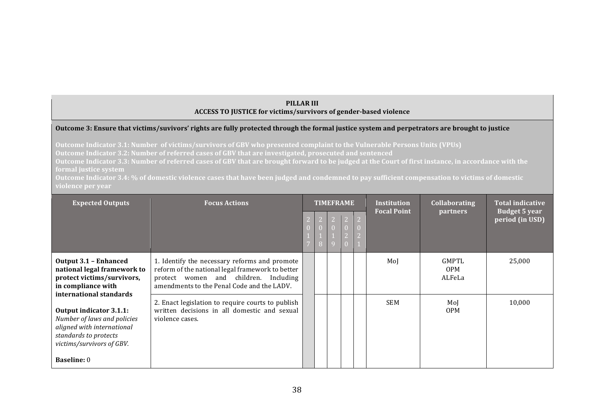#### **PILLAR III** ACCESS TO JUSTICE for victims/survivors of gender-based violence

#### Outcome 3: Ensure that victims/suvivors' rights are fully protected through the formal justice system and perpetrators are brought to justice

**Outcome Indicator 3.1: Number** of victims/survivors of GBV who presented complaint to the Vulnerable Persons Units (VPUs) Outcome Indicator 3.2: Number of referred cases of GBV that are investigated, prosecuted and sentenced

**Outcome Indicator 3.3: Number of referred cases of GBV that are brought forward to be judged at the Court of first instance, in accordance with the formal justice system** 

**Outcome Indicator 3.4: % of domestic violence cases that have been judged and condemned to pay sufficient compensation to victims of domestic** 

| <b>Expected Outputs</b>                                                                                                                                                                            | <b>Focus Actions</b>                                                                                                                                                                     | <b>TIMEFRAME</b> |  |  |  | <b>Institution</b> | <b>Collaborating</b>          | <b>Total indicative</b>                 |
|----------------------------------------------------------------------------------------------------------------------------------------------------------------------------------------------------|------------------------------------------------------------------------------------------------------------------------------------------------------------------------------------------|------------------|--|--|--|--------------------|-------------------------------|-----------------------------------------|
|                                                                                                                                                                                                    |                                                                                                                                                                                          | 8                |  |  |  | <b>Focal Point</b> | <b>partners</b>               | <b>Budget 5 year</b><br>period (in USD) |
| <b>Output 3.1 - Enhanced</b><br>national legal framework to<br>protect victims/survivors,<br>in compliance with                                                                                    | 1. Identify the necessary reforms and promote<br>reform of the national legal framework to better<br>protect women and children. Including<br>amendments to the Penal Code and the LADV. |                  |  |  |  | MoJ                | GMPTL<br><b>OPM</b><br>ALFeLa | 25,000                                  |
| international standards<br><b>Output indicator 3.1.1:</b><br>Number of laws and policies<br>aligned with international<br>standards to protects<br>victims/survivors of GBV.<br><b>Baseline: 0</b> | 2. Enact legislation to require courts to publish<br>written decisions in all domestic and sexual<br>violence cases.                                                                     |                  |  |  |  | <b>SEM</b>         | Mol<br><b>OPM</b>             | 10,000                                  |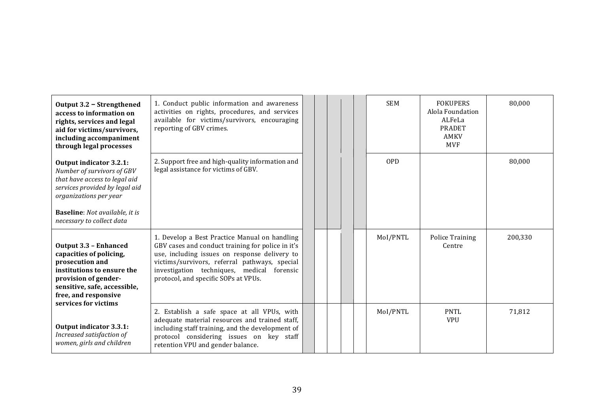| Output 3.2 - Strengthened<br>access to information on<br>rights, services and legal<br>aid for victims/survivors,<br>including accompaniment<br>through legal processes                                                  | 1. Conduct public information and awareness<br>activities on rights, procedures, and services<br>available for victims/survivors, encouraging<br>reporting of GBV crimes.                                                                                                                  |  |  | <b>SEM</b> | <b>FOKUPERS</b><br>Alola Foundation<br>ALFeLa<br><b>PRADET</b><br>AMKV<br><b>MVF</b> | 80,000  |
|--------------------------------------------------------------------------------------------------------------------------------------------------------------------------------------------------------------------------|--------------------------------------------------------------------------------------------------------------------------------------------------------------------------------------------------------------------------------------------------------------------------------------------|--|--|------------|--------------------------------------------------------------------------------------|---------|
| Output indicator 3.2.1:<br>Number of survivors of GBV<br>that have access to legal aid<br>services provided by legal aid<br>organizations per year<br><b>Baseline:</b> Not available, it is<br>necessary to collect data | 2. Support free and high-quality information and<br>legal assistance for victims of GBV.                                                                                                                                                                                                   |  |  | <b>OPD</b> |                                                                                      | 80,000  |
| <b>Output 3.3 - Enhanced</b><br>capacities of policing,<br>prosecution and<br>institutions to ensure the<br>provision of gender-<br>sensitive, safe, accessible,<br>free, and responsive<br>services for victims         | 1. Develop a Best Practice Manual on handling<br>GBV cases and conduct training for police in it's<br>use, including issues on response delivery to<br>victims/survivors, referral pathways, special<br>investigation techniques, medical forensic<br>protocol, and specific SOPs at VPUs. |  |  | MoI/PNTL   | <b>Police Training</b><br>Centre                                                     | 200,330 |
| <b>Output indicator 3.3.1:</b><br>Increased satisfaction of<br>women, girls and children                                                                                                                                 | 2. Establish a safe space at all VPUs, with<br>adequate material resources and trained staff,<br>including staff training, and the development of<br>protocol considering issues on key staff<br>retention VPU and gender balance.                                                         |  |  | MoI/PNTL   | <b>PNTL</b><br><b>VPU</b>                                                            | 71,812  |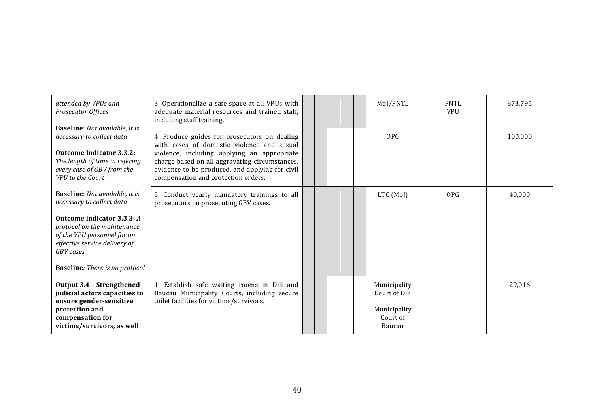| attended by VPUs and<br>Prosecutor Offices                                                                                                                                                       | 3. Operationalize a safe space at all VPUs with<br>adequate material resources and trained staff,<br>including staff training.                                                                                                                                                        |  |  | MoI/PNTL                                                            | <b>PNTL</b><br><b>VPU</b> | 873,795 |
|--------------------------------------------------------------------------------------------------------------------------------------------------------------------------------------------------|---------------------------------------------------------------------------------------------------------------------------------------------------------------------------------------------------------------------------------------------------------------------------------------|--|--|---------------------------------------------------------------------|---------------------------|---------|
| <b>Baseline:</b> Not available, it is<br>necessary to collect data<br><b>Outcome Indicator 3.3.2:</b><br>The length of time in refering<br>every case of GBV from the<br><b>VPU</b> to the Court | 4. Produce guides for prosecutors on dealing<br>with cases of domestic violence and sexual<br>violence, including applying an appropriate<br>charge based on all aggravating circumstances,<br>evidence to be produced, and applying for civil<br>compensation and protection orders. |  |  | <b>OPG</b>                                                          |                           | 100,000 |
| <b>Baseline:</b> Not available, it is<br>necessary to collect data                                                                                                                               | 5. Conduct yearly mandatory trainings to all<br>prosecutors on prosecuting GBV cases.                                                                                                                                                                                                 |  |  | $LTC$ (MoJ)                                                         | <b>OPG</b>                | 40,000  |
| Outcome indicator 3.3.3: A<br>protocol on the maintenance<br>of the VPU personnel for an<br>effective service delivery of<br><b>GBV</b> cases                                                    |                                                                                                                                                                                                                                                                                       |  |  |                                                                     |                           |         |
| <b>Baseline:</b> There is no protocol                                                                                                                                                            |                                                                                                                                                                                                                                                                                       |  |  |                                                                     |                           |         |
| <b>Output 3.4 - Strengthened</b><br>judicial actors capacities to<br>ensure gender-sensitive<br>protection and<br>compensation for<br>victims/survivors, as well                                 | 1. Establish safe waiting rooms in Dili and<br>Baucau Municipality Courts, including secure<br>toilet facilities for victims/survivors.                                                                                                                                               |  |  | Municipality<br>Court of Dili<br>Municipality<br>Court of<br>Baucau |                           | 29,016  |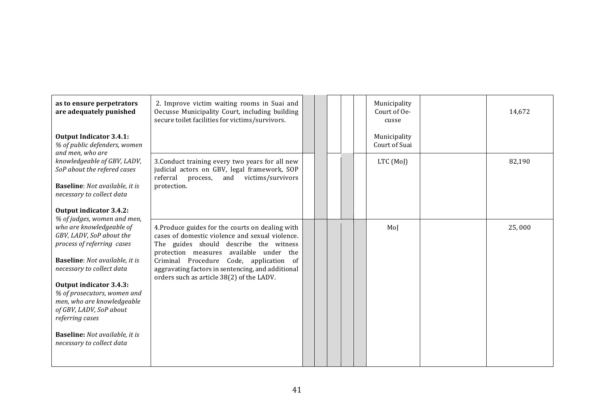| as to ensure perpetrators<br>are adequately punished<br><b>Output Indicator 3.4.1:</b><br>% of public defenders, women                                                                                                                                                                                                                                                       | 2. Improve victim waiting rooms in Suai and<br>Oecusse Municipality Court, including building<br>secure toilet facilities for victims/survivors.                                                                                                                                                                                      |  |  | Municipality<br>Court of Oe-<br>cusse<br>Municipality<br>Court of Suai | 14,672 |
|------------------------------------------------------------------------------------------------------------------------------------------------------------------------------------------------------------------------------------------------------------------------------------------------------------------------------------------------------------------------------|---------------------------------------------------------------------------------------------------------------------------------------------------------------------------------------------------------------------------------------------------------------------------------------------------------------------------------------|--|--|------------------------------------------------------------------------|--------|
| and men, who are<br>knowledgeable of GBV, LADV,<br>SoP about the refered cases<br><b>Baseline</b> : Not available, it is<br>necessary to collect data<br><b>Output indicator 3.4.2:</b><br>% of judges, women and men,                                                                                                                                                       | 3. Conduct training every two years for all new<br>judicial actors on GBV, legal framework, SOP<br>referral<br>victims/survivors<br>process,<br>and<br>protection.                                                                                                                                                                    |  |  | LTC (MoJ)                                                              | 82,190 |
| who are knowledgeable of<br>GBV, LADV, SoP about the<br>process of referring cases<br><b>Baseline</b> : Not available, it is<br>necessary to collect data<br><b>Output indicator 3.4.3:</b><br>% of prosecutors, women and<br>men, who are knowledgeable<br>of GBV, LADV, SoP about<br>referring cases<br><b>Baseline:</b> Not available, it is<br>necessary to collect data | 4. Produce guides for the courts on dealing with<br>cases of domestic violence and sexual violence.<br>The guides should describe the witness<br>protection measures available under the<br>Criminal Procedure Code, application of<br>aggravating factors in sentencing, and additional<br>orders such as article 38(2) of the LADV. |  |  | MoJ                                                                    | 25,000 |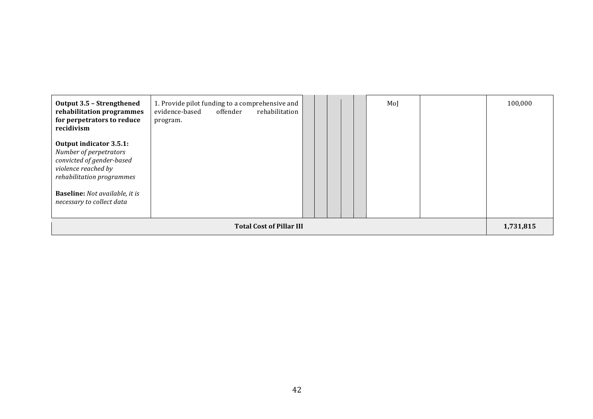| Output 3.5 - Strengthened<br>rehabilitation programmes<br>for perpetrators to reduce<br>recidivism                                                                                                       | 1. Provide pilot funding to a comprehensive and<br>evidence-based<br>offender<br>rehabilitation<br>program. |  |  |  |  |  | MoJ |           | 100,000 |
|----------------------------------------------------------------------------------------------------------------------------------------------------------------------------------------------------------|-------------------------------------------------------------------------------------------------------------|--|--|--|--|--|-----|-----------|---------|
| Output indicator 3.5.1:<br>Number of perpetrators<br>convicted of gender-based<br>violence reached by<br>rehabilitation programmes<br><b>Baseline:</b> Not available, it is<br>necessary to collect data |                                                                                                             |  |  |  |  |  |     |           |         |
| <b>Total Cost of Pillar III</b>                                                                                                                                                                          |                                                                                                             |  |  |  |  |  |     | 1,731,815 |         |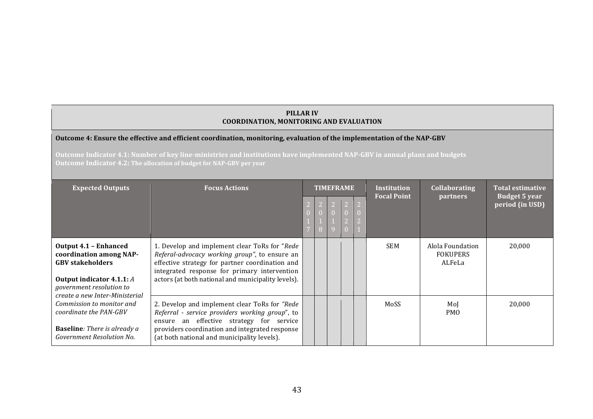#### **PILLAR IV COORDINATION, MONITORING AND EVALUATION**

#### Outcome 4: Ensure the effective and efficient coordination, monitoring, evaluation of the implementation of the NAP-GBV

**Outcome Indicator 4.1: Number of key line-ministries and institutions have implemented NAP-GBV in annual plans and budgets Outcome Indicator 4.2: The allocation of budget for NAP-GBV per year** 

| <b>Expected Outputs</b>                                                                                                                                                              | <b>Focus Actions</b>                                                                                                                                                                                                                                    | <b>TIMEFRAME</b> |  |  |  |  | <b>Institution</b> | <b>Collaborating</b><br><b>partners</b>       | <b>Total estimative</b><br><b>Budget 5 year</b> |
|--------------------------------------------------------------------------------------------------------------------------------------------------------------------------------------|---------------------------------------------------------------------------------------------------------------------------------------------------------------------------------------------------------------------------------------------------------|------------------|--|--|--|--|--------------------|-----------------------------------------------|-------------------------------------------------|
|                                                                                                                                                                                      |                                                                                                                                                                                                                                                         |                  |  |  |  |  | <b>Focal Point</b> |                                               | period (in USD)                                 |
| <b>Output 4.1 - Enhanced</b><br>coordination among NAP-<br><b>GBV</b> stakeholders<br><b>Output indicator 4.1.1:</b> A<br>government resolution to<br>create a new Inter-Ministerial | 1. Develop and implement clear ToRs for "Rede<br>Referal-advocacy working group", to ensure an<br>effective strategy for partner coordination and<br>integrated response for primary intervention<br>actors (at both national and municipality levels). |                  |  |  |  |  | <b>SEM</b>         | Alola Foundation<br><b>FOKUPERS</b><br>ALFeLa | 20,000                                          |
| Commission to monitor and<br>coordinate the PAN-GBV<br><b>Baseline:</b> There is already a<br>Government Resolution No.                                                              | 2. Develop and implement clear ToRs for "Rede<br>Referral - service providers working group", to<br>ensure an effective strategy for service<br>providers coordination and integrated response<br>(at both national and municipality levels).           |                  |  |  |  |  | MoSS               | MoJ<br>PM <sub>O</sub>                        | 20,000                                          |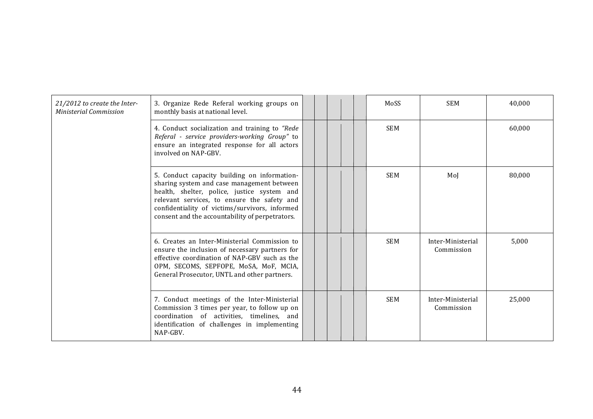| 21/2012 to create the Inter-<br><b>Ministerial Commission</b> | 3. Organize Rede Referal working groups on<br>monthly basis at national level.                                                                                                                                                                                                                |  |  | MoSS       | <b>SEM</b>                      | 40,000 |
|---------------------------------------------------------------|-----------------------------------------------------------------------------------------------------------------------------------------------------------------------------------------------------------------------------------------------------------------------------------------------|--|--|------------|---------------------------------|--------|
|                                                               | 4. Conduct socialization and training to "Rede<br>Referal - service providers-working Group" to<br>ensure an integrated response for all actors<br>involved on NAP-GBV.                                                                                                                       |  |  | <b>SEM</b> |                                 | 60,000 |
|                                                               | 5. Conduct capacity building on information-<br>sharing system and case management between<br>health, shelter, police, justice system and<br>relevant services, to ensure the safety and<br>confidentiality of victims/survivors, informed<br>consent and the accountability of perpetrators. |  |  | <b>SEM</b> | MoJ                             | 80,000 |
|                                                               | 6. Creates an Inter-Ministerial Commission to<br>ensure the inclusion of necessary partners for<br>effective coordination of NAP-GBV such as the<br>OPM, SECOMS, SEPFOPE, MoSA, MoF, MCIA,<br>General Prosecutor, UNTL and other partners.                                                    |  |  | <b>SEM</b> | Inter-Ministerial<br>Commission | 5,000  |
|                                                               | 7. Conduct meetings of the Inter-Ministerial<br>Commission 3 times per year, to follow up on<br>coordination of activities, timelines, and<br>identification of challenges in implementing<br>NAP-GBV.                                                                                        |  |  | <b>SEM</b> | Inter-Ministerial<br>Commission | 25,000 |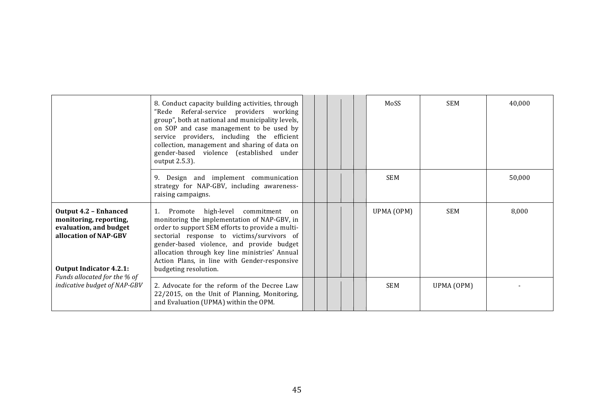|                                                                                                                                                                             | 8. Conduct capacity building activities, through<br>"Rede Referal-service providers working<br>group", both at national and municipality levels,<br>on SOP and case management to be used by<br>service providers, including the efficient<br>collection, management and sharing of data on<br>gender-based violence (established under<br>output 2.5.3).           |  |  | MoSS       | <b>SEM</b> | 40,000 |
|-----------------------------------------------------------------------------------------------------------------------------------------------------------------------------|---------------------------------------------------------------------------------------------------------------------------------------------------------------------------------------------------------------------------------------------------------------------------------------------------------------------------------------------------------------------|--|--|------------|------------|--------|
|                                                                                                                                                                             | 9. Design and implement communication<br>strategy for NAP-GBV, including awareness-<br>raising campaigns.                                                                                                                                                                                                                                                           |  |  | <b>SEM</b> |            | 50,000 |
| <b>Output 4.2 - Enhanced</b><br>monitoring, reporting,<br>evaluation, and budget<br>allocation of NAP-GBV<br><b>Output Indicator 4.2.1:</b><br>Funds allocated for the % of | Promote high-level commitment<br>1.<br>on<br>monitoring the implementation of NAP-GBV, in<br>order to support SEM efforts to provide a multi-<br>sectorial response to victims/survivors of<br>gender-based violence, and provide budget<br>allocation through key line ministries' Annual<br>Action Plans, in line with Gender-responsive<br>budgeting resolution. |  |  | UPMA (OPM) | <b>SEM</b> | 8,000  |
| indicative budget of NAP-GBV                                                                                                                                                | 2. Advocate for the reform of the Decree Law<br>22/2015, on the Unit of Planning, Monitoring,<br>and Evaluation (UPMA) within the OPM.                                                                                                                                                                                                                              |  |  | <b>SEM</b> | UPMA (OPM) |        |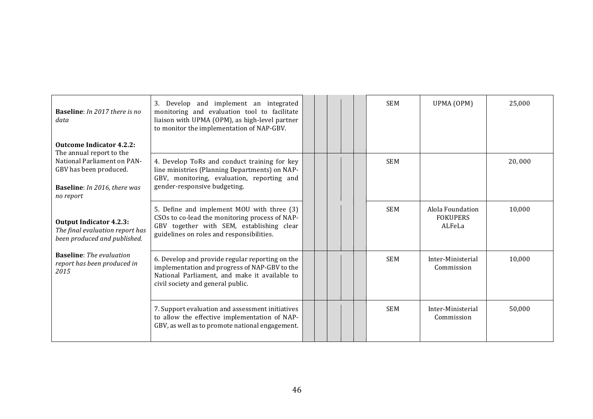| <b>Baseline:</b> In 2017 there is no<br>data<br><b>Outcome Indicator 4.2.2:</b>                                                       | 3. Develop and implement an integrated<br>monitoring and evaluation tool to facilitate<br>liaison with UPMA (OPM), as high-level partner<br>to monitor the implementation of NAP-GBV.  |  |  | <b>SEM</b> | UPMA (OPM)                                    | 25,000 |
|---------------------------------------------------------------------------------------------------------------------------------------|----------------------------------------------------------------------------------------------------------------------------------------------------------------------------------------|--|--|------------|-----------------------------------------------|--------|
| The annual report to the<br>National Parliament on PAN-<br>GBV has been produced.<br><b>Baseline:</b> In 2016, there was<br>no report | 4. Develop ToRs and conduct training for key<br>line ministries (Planning Departments) on NAP-<br>GBV, monitoring, evaluation, reporting and<br>gender-responsive budgeting.           |  |  | <b>SEM</b> |                                               | 20,000 |
| <b>Output Indicator 4.2.3:</b><br>The final evaluation report has<br>been produced and published.                                     | 5. Define and implement MOU with three (3)<br>CSOs to co-lead the monitoring process of NAP-<br>GBV together with SEM, establishing clear<br>guidelines on roles and responsibilities. |  |  | <b>SEM</b> | Alola Foundation<br><b>FOKUPERS</b><br>ALFeLa | 10,000 |
| <b>Baseline:</b> The evaluation<br>report has been produced in<br>2015                                                                | 6. Develop and provide regular reporting on the<br>implementation and progress of NAP-GBV to the<br>National Parliament, and make it available to<br>civil society and general public. |  |  | <b>SEM</b> | Inter-Ministerial<br>Commission               | 10,000 |
|                                                                                                                                       | 7. Support evaluation and assessment initiatives<br>to allow the effective implementation of NAP-<br>GBV, as well as to promote national engagement.                                   |  |  | <b>SEM</b> | Inter-Ministerial<br>Commission               | 50,000 |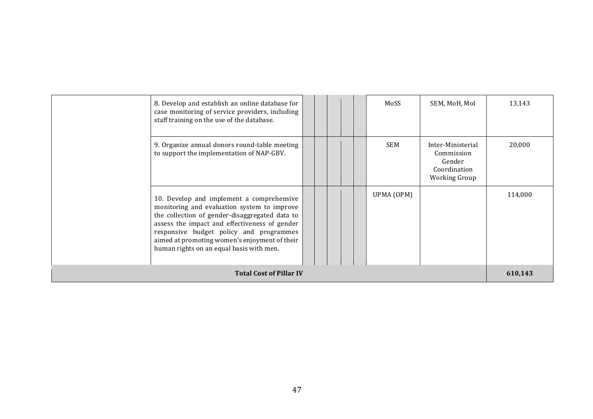|                                | 8. Develop and establish an online database for<br>case monitoring of service providers, including<br>staff training on the use of the database.                                                                                                                                                                                    |  |  | MoSS       | SEM, MoH, MoI                                                                     | 13,143  |
|--------------------------------|-------------------------------------------------------------------------------------------------------------------------------------------------------------------------------------------------------------------------------------------------------------------------------------------------------------------------------------|--|--|------------|-----------------------------------------------------------------------------------|---------|
|                                | 9. Organize annual donors round-table meeting<br>to support the implementation of NAP-GBV.                                                                                                                                                                                                                                          |  |  | <b>SEM</b> | Inter-Ministerial<br>Commission<br>Gender<br>Coordination<br><b>Working Group</b> | 20,000  |
|                                | 10. Develop and implement a comprehensive<br>monitoring and evaluation system to improve<br>the collection of gender-disaggregated data to<br>assess the impact and effectiveness of gender<br>responsive budget policy and programmes<br>aimed at promoting women's enjoyment of their<br>human rights on an equal basis with men. |  |  | UPMA (OPM) |                                                                                   | 114,000 |
| <b>Total Cost of Pillar IV</b> |                                                                                                                                                                                                                                                                                                                                     |  |  |            |                                                                                   |         |